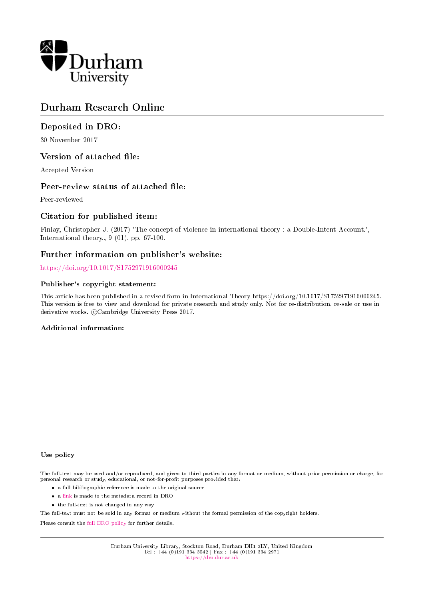

# Durham Research Online

#### Deposited in DRO:

30 November 2017

#### Version of attached file:

Accepted Version

#### Peer-review status of attached file:

Peer-reviewed

#### Citation for published item:

Finlay, Christopher J. (2017) 'The concept of violence in international theory : a Double-Intent Account.', International theory., 9 (01). pp. 67-100.

#### Further information on publisher's website:

<https://doi.org/10.1017/S1752971916000245>

#### Publisher's copyright statement:

This article has been published in a revised form in International Theory https://doi.org/10.1017/S1752971916000245. This version is free to view and download for private research and study only. Not for re-distribution, re-sale or use in derivative works. ©Cambridge University Press 2017.

#### Additional information:

#### Use policy

The full-text may be used and/or reproduced, and given to third parties in any format or medium, without prior permission or charge, for personal research or study, educational, or not-for-profit purposes provided that:

- a full bibliographic reference is made to the original source
- a [link](http://dro.dur.ac.uk/23594/) is made to the metadata record in DRO
- the full-text is not changed in any way

The full-text must not be sold in any format or medium without the formal permission of the copyright holders.

Please consult the [full DRO policy](https://dro.dur.ac.uk/policies/usepolicy.pdf) for further details.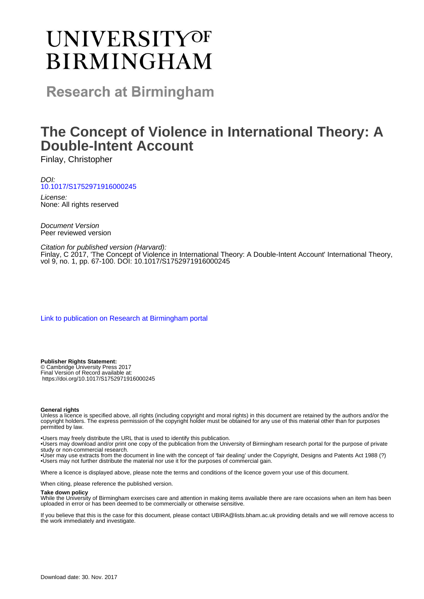# **UNIVERSITYOF BIRMINGHAM**

**Research at Birmingham** 

# **The Concept of Violence in International Theory: A Double-Intent Account**

Finlay, Christopher

DOI: [10.1017/S1752971916000245](http://dx.doi.org/10.1017/S1752971916000245)

License: None: All rights reserved

Document Version Peer reviewed version

Citation for published version (Harvard): Finlay, C 2017, 'The Concept of Violence in International Theory: A Double-Intent Account' International Theory, vol 9, no. 1, pp. 67-100. DOI: 10.1017/S1752971916000245

[Link to publication on Research at Birmingham portal](https://research.birmingham.ac.uk/portal/en/publications/the-concept-of-violence-in-international-theory-a-doubleintent-account(4b284af7-6dc2-42a7-b21f-ec935be44bd8).html)

**Publisher Rights Statement:** © Cambridge University Press 2017 Final Version of Record available at: https://doi.org/10.1017/S1752971916000245

#### **General rights**

Unless a licence is specified above, all rights (including copyright and moral rights) in this document are retained by the authors and/or the copyright holders. The express permission of the copyright holder must be obtained for any use of this material other than for purposes permitted by law.

• Users may freely distribute the URL that is used to identify this publication.

• Users may download and/or print one copy of the publication from the University of Birmingham research portal for the purpose of private study or non-commercial research.

• User may use extracts from the document in line with the concept of 'fair dealing' under the Copyright, Designs and Patents Act 1988 (?) • Users may not further distribute the material nor use it for the purposes of commercial gain.

Where a licence is displayed above, please note the terms and conditions of the licence govern your use of this document.

When citing, please reference the published version.

#### **Take down policy**

While the University of Birmingham exercises care and attention in making items available there are rare occasions when an item has been uploaded in error or has been deemed to be commercially or otherwise sensitive.

If you believe that this is the case for this document, please contact UBIRA@lists.bham.ac.uk providing details and we will remove access to the work immediately and investigate.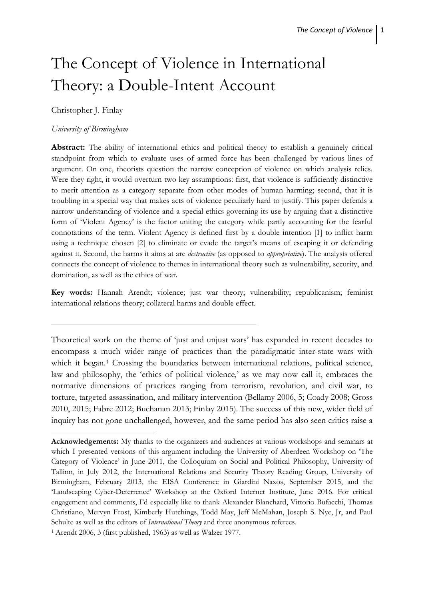# The Concept of Violence in International Theory: a Double-Intent Account

#### Christopher J. Finlay

#### *University of Birmingham*

 $\overline{a}$ 

**Abstract:** The ability of international ethics and political theory to establish a genuinely critical standpoint from which to evaluate uses of armed force has been challenged by various lines of argument. On one, theorists question the narrow conception of violence on which analysis relies. Were they right, it would overturn two key assumptions: first, that violence is sufficiently distinctive to merit attention as a category separate from other modes of human harming; second, that it is troubling in a special way that makes acts of violence peculiarly hard to justify. This paper defends a narrow understanding of violence and a special ethics governing its use by arguing that a distinctive form of 'Violent Agency' is the factor uniting the category while partly accounting for the fearful connotations of the term. Violent Agency is defined first by a double intention [1] to inflict harm using a technique chosen [2] to eliminate or evade the target's means of escaping it or defending against it. Second, the harms it aims at are *destructive* (as opposed to *appropriative*). The analysis offered connects the concept of violence to themes in international theory such as vulnerability, security, and domination, as well as the ethics of war.

**Key words:** Hannah Arendt; violence; just war theory; vulnerability; republicanism; feminist international relations theory; collateral harms and double effect.

Theoretical work on the theme of 'just and unjust wars' has expanded in recent decades to encompass a much wider range of practices than the paradigmatic inter-state wars with which it began.<sup>[1](#page-2-0)</sup> Crossing the boundaries between international relations, political science, law and philosophy, the 'ethics of political violence*,*' as we may now call it, embraces the normative dimensions of practices ranging from terrorism, revolution, and civil war, to torture, targeted assassination, and military intervention (Bellamy 2006, 5; Coady 2008; Gross 2010, 2015; Fabre 2012; Buchanan 2013; Finlay 2015). The success of this new, wider field of inquiry has not gone unchallenged, however, and the same period has also seen critics raise a

<span id="page-2-0"></span>**Acknowledgements:** My thanks to the organizers and audiences at various workshops and seminars at which I presented versions of this argument including the University of Aberdeen Workshop on 'The Category of Violence' in June 2011, the Colloquium on Social and Political Philosophy, University of Tallinn, in July 2012, the International Relations and Security Theory Reading Group, University of Birmingham, February 2013, the EISA Conference in Giardini Naxos, September 2015, and the 'Landscaping Cyber-Deterrence' Workshop at the Oxford Internet Institute, June 2016. For critical engagement and comments, I'd especially like to thank Alexander Blanchard, Vittorio Bufacchi, Thomas Christiano, Mervyn Frost, Kimberly Hutchings, Todd May, Jeff McMahan, Joseph S. Nye, Jr, and Paul Schulte as well as the editors of *International Theory* and three anonymous referees.

<sup>1</sup> Arendt 2006, 3 (first published, 1963) as well as Walzer 1977.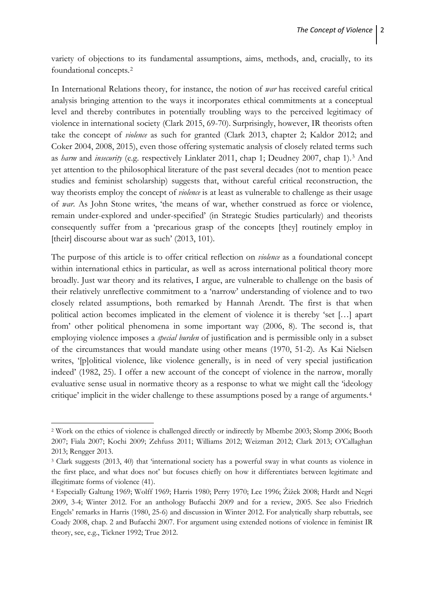variety of objections to its fundamental assumptions, aims, methods, and, crucially, to its foundational concepts.[2](#page-3-0)

In International Relations theory, for instance, the notion of *war* has received careful critical analysis bringing attention to the ways it incorporates ethical commitments at a conceptual level and thereby contributes in potentially troubling ways to the perceived legitimacy of violence in international society (Clark 2015, 69-70). Surprisingly, however, IR theorists often take the concept of *violence* as such for granted (Clark 2013, chapter 2; Kaldor 2012; and Coker 2004, 2008, 2015), even those offering systematic analysis of closely related terms such as *harm* and *insecurity* (e.g. respectively Linklater 2011, chap 1; Deudney 2007, chap 1).[3](#page-3-1) And yet attention to the philosophical literature of the past several decades (not to mention peace studies and feminist scholarship) suggests that, without careful critical reconstruction, the way theorists employ the concept of *violence* is at least as vulnerable to challenge as their usage of *war*. As John Stone writes, 'the means of war, whether construed as force or violence, remain under-explored and under-specified' (in Strategic Studies particularly) and theorists consequently suffer from a 'precarious grasp of the concepts [they] routinely employ in [their] discourse about war as such' (2013, 101).

The purpose of this article is to offer critical reflection on *violence* as a foundational concept within international ethics in particular, as well as across international political theory more broadly. Just war theory and its relatives, I argue, are vulnerable to challenge on the basis of their relatively unreflective commitment to a 'narrow' understanding of violence and to two closely related assumptions, both remarked by Hannah Arendt. The first is that when political action becomes implicated in the element of violence it is thereby 'set […] apart from' other political phenomena in some important way (2006, 8). The second is, that employing violence imposes a *special burden* of justification and is permissible only in a subset of the circumstances that would mandate using other means (1970, 51-2). As Kai Nielsen writes, '[p]olitical violence, like violence generally, is in need of very special justification indeed' (1982, 25). I offer a new account of the concept of violence in the narrow, morally evaluative sense usual in normative theory as a response to what we might call the 'ideology critique' implicit in the wider challenge to these assumptions posed by a range of arguments.[4](#page-3-2)

**.** 

<span id="page-3-0"></span><sup>2</sup> Work on the ethics of violence is challenged directly or indirectly by Mbembe 2003; Slomp 2006; Booth 2007; Fiala 2007; Kochi 2009; Zehfuss 2011; Williams 2012; Weizman 2012; Clark 2013; O'Callaghan 2013; Rengger 2013.

<span id="page-3-1"></span><sup>3</sup> Clark suggests (2013, 40) that 'international society has a powerful sway in what counts as violence in the first place, and what does not' but focuses chiefly on how it differentiates between legitimate and illegitimate forms of violence (41).

<span id="page-3-2"></span><sup>4</sup> Especially Galtung 1969; Wolff 1969; Harris 1980; Perry 1970; Lee 1996; Žižek 2008; Hardt and Negri 2009, 3-4; Winter 2012. For an anthology Bufacchi 2009 and for a review, 2005. See also Friedrich Engels' remarks in Harris (1980, 25-6) and discussion in Winter 2012. For analytically sharp rebuttals, see Coady 2008, chap. 2 and Bufacchi 2007. For argument using extended notions of violence in feminist IR theory, see, e.g., Tickner 1992; True 2012.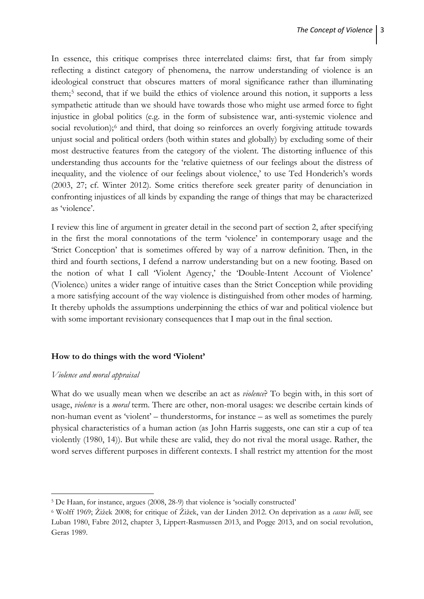In essence, this critique comprises three interrelated claims: first, that far from simply reflecting a distinct category of phenomena, the narrow understanding of violence is an ideological construct that obscures matters of moral significance rather than illuminating them;[5](#page-4-0) second, that if we build the ethics of violence around this notion, it supports a less sympathetic attitude than we should have towards those who might use armed force to fight injustice in global politics (e.g. in the form of subsistence war, anti-systemic violence and social revolution);<sup>[6](#page-4-1)</sup> and third, that doing so reinforces an overly forgiving attitude towards unjust social and political orders (both within states and globally) by excluding some of their most destructive features from the category of the violent. The distorting influence of this understanding thus accounts for the 'relative quietness of our feelings about the distress of inequality, and the violence of our feelings about violence,' to use Ted Honderich's words (2003, 27; cf. Winter 2012). Some critics therefore seek greater parity of denunciation in confronting injustices of all kinds by expanding the range of things that may be characterized as 'violence'.

I review this line of argument in greater detail in the second part of section 2, after specifying in the first the moral connotations of the term 'violence' in contemporary usage and the 'Strict Conception' that is sometimes offered by way of a narrow definition. Then, in the third and fourth sections, I defend a narrow understanding but on a new footing. Based on the notion of what I call 'Violent Agency,' the 'Double-Intent Account of Violence' (Violencei) unites a wider range of intuitive cases than the Strict Conception while providing a more satisfying account of the way violence is distinguished from other modes of harming. It thereby upholds the assumptions underpinning the ethics of war and political violence but with some important revisionary consequences that I map out in the final section.

### **How to do things with the word 'Violent'**

#### *Violence and moral appraisal*

 $\overline{a}$ 

What do we usually mean when we describe an act as *violence*? To begin with, in this sort of usage, *violence* is a *moral* term. There are other, non-moral usages: we describe certain kinds of non-human event as 'violent' – thunderstorms, for instance – as well as sometimes the purely physical characteristics of a human action (as John Harris suggests, one can stir a cup of tea violently (1980, 14)). But while these are valid, they do not rival the moral usage. Rather, the word serves different purposes in different contexts. I shall restrict my attention for the most

<span id="page-4-0"></span><sup>5</sup> De Haan, for instance, argues (2008, 28-9) that violence is 'socially constructed'

<span id="page-4-1"></span><sup>6</sup> Wolff 1969; Žižek 2008; for critique of Žižek, van der Linden 2012. On deprivation as a *casus belli*, see Luban 1980, Fabre 2012, chapter 3, Lippert-Rasmussen 2013, and Pogge 2013, and on social revolution, Geras 1989.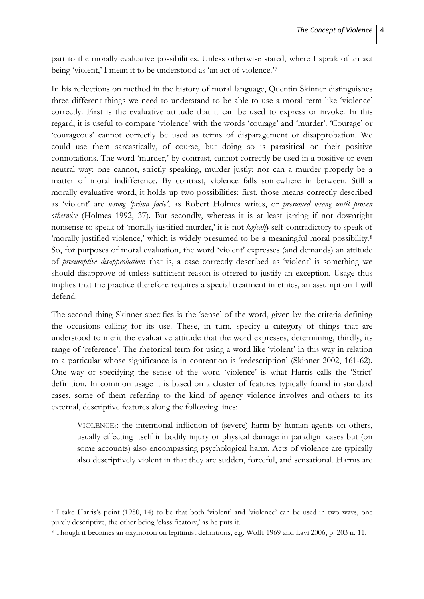part to the morally evaluative possibilities. Unless otherwise stated, where I speak of an act being 'violent,' I mean it to be understood as 'an act of violence.'<sup>[7](#page-5-0)</sup>

In his reflections on method in the history of moral language, Quentin Skinner distinguishes three different things we need to understand to be able to use a moral term like 'violence' correctly. First is the evaluative attitude that it can be used to express or invoke. In this regard, it is useful to compare 'violence' with the words 'courage' and 'murder'. 'Courage' or 'courageous' cannot correctly be used as terms of disparagement or disapprobation. We could use them sarcastically, of course, but doing so is parasitical on their positive connotations. The word 'murder,' by contrast, cannot correctly be used in a positive or even neutral way: one cannot, strictly speaking, murder justly; nor can a murder properly be a matter of moral indifference. By contrast, violence falls somewhere in between. Still a morally evaluative word, it holds up two possibilities: first, those means correctly described as 'violent' are *wrong 'prima facie'*, as Robert Holmes writes, or *presumed wrong until proven otherwise* (Holmes 1992, 37)*.* But secondly, whereas it is at least jarring if not downright nonsense to speak of 'morally justified murder,' it is not *logically* self-contradictory to speak of 'morally justified violence,' which is widely presumed to be a meaningful moral possibility.<sup>[8](#page-5-1)</sup> So, for purposes of moral evaluation, the word 'violent' expresses (and demands) an attitude of *presumptive disapprobation*: that is, a case correctly described as 'violent' is something we should disapprove of unless sufficient reason is offered to justify an exception. Usage thus implies that the practice therefore requires a special treatment in ethics, an assumption I will defend.

The second thing Skinner specifies is the 'sense' of the word, given by the criteria defining the occasions calling for its use. These, in turn, specify a category of things that are understood to merit the evaluative attitude that the word expresses, determining, thirdly, its range of 'reference'. The rhetorical term for using a word like 'violent' in this way in relation to a particular whose significance is in contention is 'redescription' (Skinner 2002, 161-62). One way of specifying the sense of the word 'violence' is what Harris calls the 'Strict' definition. In common usage it is based on a cluster of features typically found in standard cases, some of them referring to the kind of agency violence involves and others to its external, descriptive features along the following lines:

VIOLENCES: the intentional infliction of (severe) harm by human agents on others, usually effecting itself in bodily injury or physical damage in paradigm cases but (on some accounts) also encompassing psychological harm. Acts of violence are typically also descriptively violent in that they are sudden, forceful, and sensational. Harms are

**.** 

<span id="page-5-0"></span><sup>7</sup> I take Harris's point (1980, 14) to be that both 'violent' and 'violence' can be used in two ways, one purely descriptive, the other being 'classificatory,' as he puts it.

<span id="page-5-1"></span><sup>8</sup> Though it becomes an oxymoron on legitimist definitions, e.g. Wolff 1969 and Lavi 2006, p. 203 n. 11.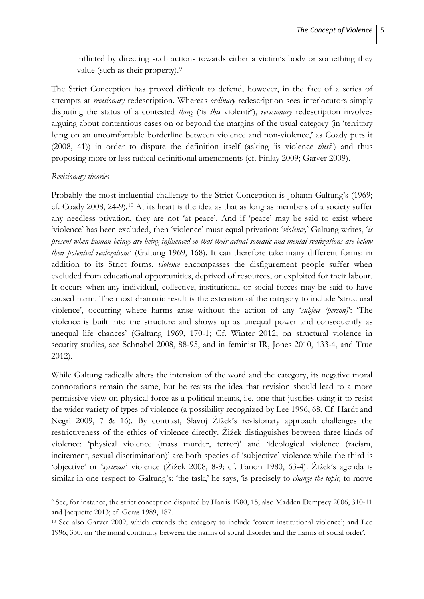inflicted by directing such actions towards either a victim's body or something they value (such as their property).<sup>[9](#page-6-0)</sup>

The Strict Conception has proved difficult to defend, however, in the face of a series of attempts at *revisionary* redescription. Whereas *ordinary* redescription sees interlocutors simply disputing the status of a contested *thing* ('is *this* violent?'), *revisionary* redescription involves arguing about contentious cases on or beyond the margins of the usual category (in 'territory lying on an uncomfortable borderline between violence and non-violence,' as Coady puts it (2008, 41)) in order to dispute the definition itself (asking 'is violence *this?'*) and thus proposing more or less radical definitional amendments (cf. Finlay 2009; Garver 2009).

#### *Revisionary theories*

 $\overline{a}$ 

Probably the most influential challenge to the Strict Conception is Johann Galtung's (1969; cf. Coady 2008, 24-9).[10](#page-6-1) At its heart is the idea as that as long as members of a society suffer any needless privation, they are not 'at peace'. And if 'peace' may be said to exist where 'violence' has been excluded, then 'violence' must equal privation: '*violence,*' Galtung writes, '*is present when human beings are being influenced so that their actual somatic and mental realizations are below their potential realizations*' (Galtung 1969, 168). It can therefore take many different forms: in addition to its Strict forms, *violence* encompasses the disfigurement people suffer when excluded from educational opportunities, deprived of resources, or exploited for their labour. It occurs when any individual, collective, institutional or social forces may be said to have caused harm. The most dramatic result is the extension of the category to include 'structural violence', occurring where harms arise without the action of any '*subject (person)*': 'The violence is built into the structure and shows up as unequal power and consequently as unequal life chances' (Galtung 1969, 170-1; Cf. Winter 2012; on structural violence in security studies, see Schnabel 2008, 88-95, and in feminist IR, Jones 2010, 133-4, and True 2012).

While Galtung radically alters the intension of the word and the category, its negative moral connotations remain the same, but he resists the idea that revision should lead to a more permissive view on physical force as a political means, i.e. one that justifies using it to resist the wider variety of types of violence (a possibility recognized by Lee 1996, 68. Cf. Hardt and Negri 2009, 7 & 16). By contrast, Slavoj Žižek's revisionary approach challenges the restrictiveness of the ethics of violence directly. Žižek distinguishes between three kinds of violence: 'physical violence (mass murder, terror)' and 'ideological violence (racism, incitement, sexual discrimination)' are both species of 'subjective' violence while the third is 'objective' or '*systemic*' violence (Žižek 2008, 8-9; cf. Fanon 1980, 63-4). Žižek's agenda is similar in one respect to Galtung's: 'the task,' he says, 'is precisely to *change the topic,* to move

<span id="page-6-0"></span><sup>9</sup> See, for instance, the strict conception disputed by Harris 1980, 15; also Madden Dempsey 2006, 310-11 and Jacquette 2013; cf. Geras 1989, 187.

<span id="page-6-1"></span><sup>10</sup> See also Garver 2009, which extends the category to include 'covert institutional violence'; and Lee 1996, 330, on 'the moral continuity between the harms of social disorder and the harms of social order'.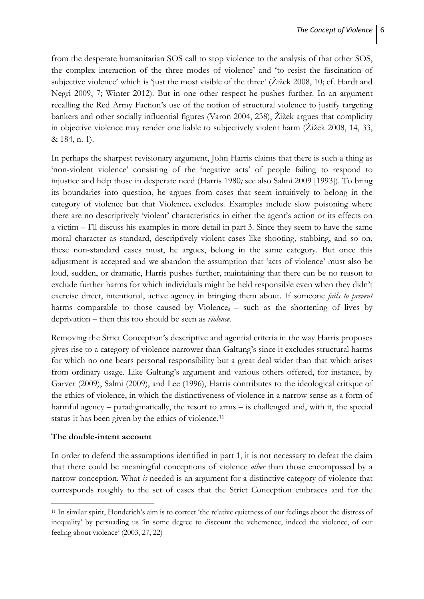from the desperate humanitarian SOS call to stop violence to the analysis of that other SOS, the complex interaction of the three modes of violence' and 'to resist the fascination of subjective violence' which is 'just the most visible of the three' (Žižek 2008, 10; cf. Hardt and Negri 2009, 7; Winter 2012). But in one other respect he pushes further. In an argument recalling the Red Army Faction's use of the notion of structural violence to justify targeting bankers and other socially influential figures (Varon 2004, 238), Žižek argues that complicity in objective violence may render one liable to subjectively violent harm (Žižek 2008, 14, 33, & 184, n. 1).

In perhaps the sharpest revisionary argument, John Harris claims that there is such a thing as 'non-violent violence' consisting of the 'negative acts' of people failing to respond to injustice and help those in desperate need (Harris 1980*;* see also Salmi 2009 [1993]). To bring its boundaries into question, he argues from cases that seem intuitively to belong in the category of violence but that Violences excludes. Examples include slow poisoning where there are no descriptively 'violent' characteristics in either the agent's action or its effects on a victim – I'll discuss his examples in more detail in part 3. Since they seem to have the same moral character as standard, descriptively violent cases like shooting, stabbing, and so on, these non-standard cases must, he argues, belong in the same category. But once this adjustment is accepted and we abandon the assumption that 'acts of violence' must also be loud, sudden, or dramatic, Harris pushes further, maintaining that there can be no reason to exclude further harms for which individuals might be held responsible even when they didn't exercise direct, intentional, active agency in bringing them about. If someone *fails to prevent*  harms comparable to those caused by Violence<sub>s</sub> – such as the shortening of lives by deprivation – then this too should be seen as *violence.*

Removing the Strict Conception's descriptive and agential criteria in the way Harris proposes gives rise to a category of violence narrower than Galtung's since it excludes structural harms for which no one bears personal responsibility but a great deal wider than that which arises from ordinary usage. Like Galtung's argument and various others offered, for instance, by Garver (2009), Salmi (2009), and Lee (1996), Harris contributes to the ideological critique of the ethics of violence, in which the distinctiveness of violence in a narrow sense as a form of harmful agency – paradigmatically, the resort to arms – is challenged and, with it, the special status it has been given by the ethics of violence.<sup>[11](#page-7-0)</sup>

# **The double-intent account**

**.** 

In order to defend the assumptions identified in part 1, it is not necessary to defeat the claim that there could be meaningful conceptions of violence *other* than those encompassed by a narrow conception. What *is* needed is an argument for a distinctive category of violence that corresponds roughly to the set of cases that the Strict Conception embraces and for the

<span id="page-7-0"></span><sup>11</sup> In similar spirit, Honderich's aim is to correct 'the relative quietness of our feelings about the distress of inequality' by persuading us 'in some degree to discount the vehemence, indeed the violence, of our feeling about violence' (2003, 27, 22)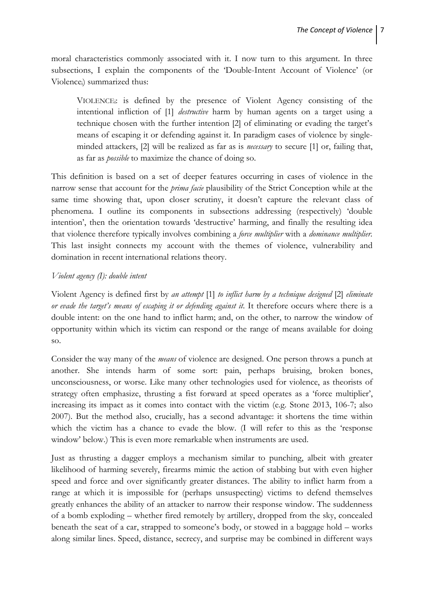moral characteristics commonly associated with it. I now turn to this argument. In three subsections, I explain the components of the 'Double-Intent Account of Violence' (or Violencei) summarized thus:

VIOLENCEi: is defined by the presence of Violent Agency consisting of the intentional infliction of [1] *destructive* harm by human agents on a target using a technique chosen with the further intention [2] of eliminating or evading the target's means of escaping it or defending against it. In paradigm cases of violence by singleminded attackers, [2] will be realized as far as is *necessary* to secure [1] or, failing that, as far as *possible* to maximize the chance of doing so.

This definition is based on a set of deeper features occurring in cases of violence in the narrow sense that account for the *prima facie* plausibility of the Strict Conception while at the same time showing that, upon closer scrutiny, it doesn't capture the relevant class of phenomena. I outline its components in subsections addressing (respectively) 'double intention', then the orientation towards 'destructive' harming, and finally the resulting idea that violence therefore typically involves combining a *force multiplier* with a *dominance multiplier.*  This last insight connects my account with the themes of violence, vulnerability and domination in recent international relations theory.

### *Violent agency (I): double intent*

Violent Agency is defined first by *an attempt* [1] *to inflict harm by a technique designed* [2] *eliminate or evade the target's means of escaping it or defending against it*. It therefore occurs where there is a double intent: on the one hand to inflict harm; and, on the other, to narrow the window of opportunity within which its victim can respond or the range of means available for doing so.

Consider the way many of the *means* of violence are designed. One person throws a punch at another. She intends harm of some sort: pain, perhaps bruising, broken bones, unconsciousness, or worse. Like many other technologies used for violence, as theorists of strategy often emphasize, thrusting a fist forward at speed operates as a 'force multiplier', increasing its impact as it comes into contact with the victim (e.g. Stone 2013, 106-7; also 2007). But the method also, crucially, has a second advantage: it shortens the time within which the victim has a chance to evade the blow. (I will refer to this as the 'response window' below.) This is even more remarkable when instruments are used.

Just as thrusting a dagger employs a mechanism similar to punching, albeit with greater likelihood of harming severely, firearms mimic the action of stabbing but with even higher speed and force and over significantly greater distances. The ability to inflict harm from a range at which it is impossible for (perhaps unsuspecting) victims to defend themselves greatly enhances the ability of an attacker to narrow their response window. The suddenness of a bomb exploding – whether fired remotely by artillery, dropped from the sky, concealed beneath the seat of a car, strapped to someone's body, or stowed in a baggage hold – works along similar lines. Speed, distance, secrecy, and surprise may be combined in different ways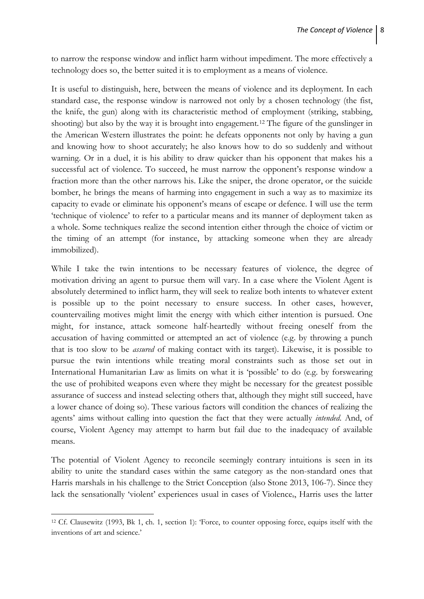to narrow the response window and inflict harm without impediment. The more effectively a technology does so, the better suited it is to employment as a means of violence.

It is useful to distinguish, here, between the means of violence and its deployment. In each standard case, the response window is narrowed not only by a chosen technology (the fist, the knife, the gun) along with its characteristic method of employment (striking, stabbing, shooting) but also by the way it is brought into engagement.[12](#page-9-0) The figure of the gunslinger in the American Western illustrates the point: he defeats opponents not only by having a gun and knowing how to shoot accurately; he also knows how to do so suddenly and without warning. Or in a duel, it is his ability to draw quicker than his opponent that makes his a successful act of violence. To succeed, he must narrow the opponent's response window a fraction more than the other narrows his. Like the sniper, the drone operator, or the suicide bomber, he brings the means of harming into engagement in such a way as to maximize its capacity to evade or eliminate his opponent's means of escape or defence. I will use the term 'technique of violence' to refer to a particular means and its manner of deployment taken as a whole. Some techniques realize the second intention either through the choice of victim or the timing of an attempt (for instance, by attacking someone when they are already immobilized).

While I take the twin intentions to be necessary features of violence, the degree of motivation driving an agent to pursue them will vary. In a case where the Violent Agent is absolutely determined to inflict harm, they will seek to realize both intents to whatever extent is possible up to the point necessary to ensure success. In other cases, however, countervailing motives might limit the energy with which either intention is pursued. One might, for instance, attack someone half-heartedly without freeing oneself from the accusation of having committed or attempted an act of violence (e.g. by throwing a punch that is too slow to be *assured* of making contact with its target). Likewise, it is possible to pursue the twin intentions while treating moral constraints such as those set out in International Humanitarian Law as limits on what it is 'possible' to do (e.g. by forswearing the use of prohibited weapons even where they might be necessary for the greatest possible assurance of success and instead selecting others that, although they might still succeed, have a lower chance of doing so). These various factors will condition the chances of realizing the agents' aims without calling into question the fact that they were actually *intended*. And, of course, Violent Agency may attempt to harm but fail due to the inadequacy of available means.

The potential of Violent Agency to reconcile seemingly contrary intuitions is seen in its ability to unite the standard cases within the same category as the non-standard ones that Harris marshals in his challenge to the Strict Conception (also Stone 2013, 106-7). Since they lack the sensationally 'violent' experiences usual in cases of Violences, Harris uses the latter

1

<span id="page-9-0"></span><sup>12</sup> Cf. Clausewitz (1993, Bk 1, ch. 1, section 1): 'Force, to counter opposing force, equips itself with the inventions of art and science.'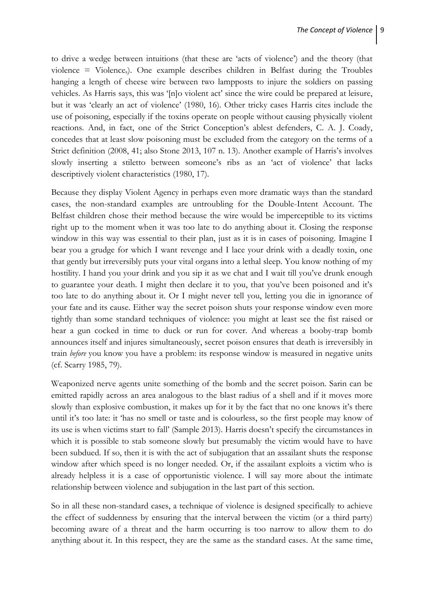to drive a wedge between intuitions (that these are 'acts of violence') and the theory (that violence  $=$  Violence<sub>s</sub>). One example describes children in Belfast during the Troubles hanging a length of cheese wire between two lampposts to injure the soldiers on passing vehicles. As Harris says, this was '[n]o violent act' since the wire could be prepared at leisure, but it was 'clearly an act of violence' (1980, 16). Other tricky cases Harris cites include the use of poisoning, especially if the toxins operate on people without causing physically violent reactions. And, in fact, one of the Strict Conception's ablest defenders, C. A. J. Coady, concedes that at least slow poisoning must be excluded from the category on the terms of a Strict definition (2008, 41; also Stone 2013, 107 n. 13). Another example of Harris's involves slowly inserting a stiletto between someone's ribs as an 'act of violence' that lacks descriptively violent characteristics (1980, 17).

Because they display Violent Agency in perhaps even more dramatic ways than the standard cases, the non-standard examples are untroubling for the Double-Intent Account. The Belfast children chose their method because the wire would be imperceptible to its victims right up to the moment when it was too late to do anything about it. Closing the response window in this way was essential to their plan, just as it is in cases of poisoning. Imagine I bear you a grudge for which I want revenge and I lace your drink with a deadly toxin, one that gently but irreversibly puts your vital organs into a lethal sleep. You know nothing of my hostility. I hand you your drink and you sip it as we chat and I wait till you've drunk enough to guarantee your death. I might then declare it to you, that you've been poisoned and it's too late to do anything about it. Or I might never tell you, letting you die in ignorance of your fate and its cause. Either way the secret poison shuts your response window even more tightly than some standard techniques of violence: you might at least see the fist raised or hear a gun cocked in time to duck or run for cover. And whereas a booby-trap bomb announces itself and injures simultaneously, secret poison ensures that death is irreversibly in train *before* you know you have a problem: its response window is measured in negative units (cf. Scarry 1985, 79).

Weaponized nerve agents unite something of the bomb and the secret poison. Sarin can be emitted rapidly across an area analogous to the blast radius of a shell and if it moves more slowly than explosive combustion, it makes up for it by the fact that no one knows it's there until it's too late: it 'has no smell or taste and is colourless, so the first people may know of its use is when victims start to fall' (Sample 2013). Harris doesn't specify the circumstances in which it is possible to stab someone slowly but presumably the victim would have to have been subdued. If so, then it is with the act of subjugation that an assailant shuts the response window after which speed is no longer needed. Or, if the assailant exploits a victim who is already helpless it is a case of opportunistic violence. I will say more about the intimate relationship between violence and subjugation in the last part of this section.

So in all these non-standard cases, a technique of violence is designed specifically to achieve the effect of suddenness by ensuring that the interval between the victim (or a third party) becoming aware of a threat and the harm occurring is too narrow to allow them to do anything about it. In this respect, they are the same as the standard cases. At the same time,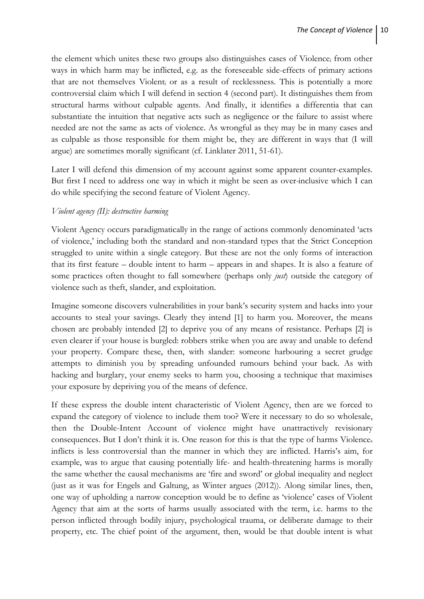the element which unites these two groups also distinguishes cases of Violence; from other ways in which harm may be inflicted, e.g. as the foreseeable side-effects of primary actions that are not themselves Violenti or as a result of recklessness. This is potentially a more controversial claim which I will defend in section 4 (second part). It distinguishes them from structural harms without culpable agents. And finally, it identifies a differentia that can substantiate the intuition that negative acts such as negligence or the failure to assist where needed are not the same as acts of violence. As wrongful as they may be in many cases and as culpable as those responsible for them might be, they are different in ways that (I will argue) are sometimes morally significant (cf. Linklater 2011, 51-61).

Later I will defend this dimension of my account against some apparent counter-examples. But first I need to address one way in which it might be seen as over*-*inclusive which I can do while specifying the second feature of Violent Agency.

### *Violent agency (II): destructive harming*

Violent Agency occurs paradigmatically in the range of actions commonly denominated 'acts of violence,' including both the standard and non-standard types that the Strict Conception struggled to unite within a single category. But these are not the only forms of interaction that its first feature – double intent to harm – appears in and shapes. It is also a feature of some practices often thought to fall somewhere (perhaps only *just*) outside the category of violence such as theft, slander, and exploitation.

Imagine someone discovers vulnerabilities in your bank's security system and hacks into your accounts to steal your savings. Clearly they intend [1] to harm you. Moreover, the means chosen are probably intended [2] to deprive you of any means of resistance. Perhaps [2] is even clearer if your house is burgled: robbers strike when you are away and unable to defend your property. Compare these, then, with slander: someone harbouring a secret grudge attempts to diminish you by spreading unfounded rumours behind your back. As with hacking and burglary, your enemy seeks to harm you, choosing a technique that maximises your exposure by depriving you of the means of defence.

If these express the double intent characteristic of Violent Agency, then are we forced to expand the category of violence to include them too? Were it necessary to do so wholesale, then the Double-Intent Account of violence might have unattractively revisionary consequences. But I don't think it is. One reason for this is that the type of harms Violences inflicts is less controversial than the manner in which they are inflicted. Harris's aim, for example, was to argue that causing potentially life- and health-threatening harms is morally the same whether the causal mechanisms are 'fire and sword' or global inequality and neglect (just as it was for Engels and Galtung, as Winter argues (2012)). Along similar lines, then, one way of upholding a narrow conception would be to define as 'violence' cases of Violent Agency that aim at the sorts of harms usually associated with the term, i.e. harms to the person inflicted through bodily injury, psychological trauma, or deliberate damage to their property, etc. The chief point of the argument, then, would be that double intent is what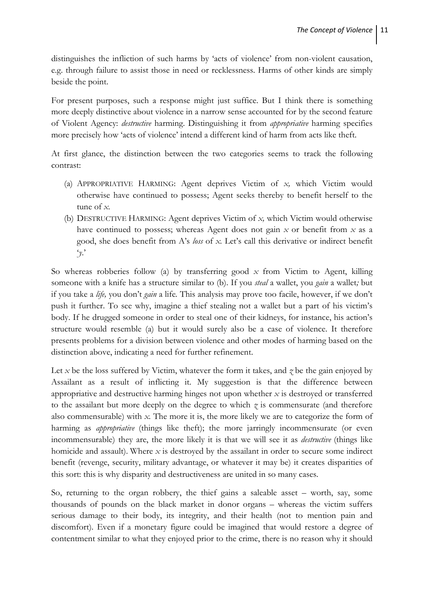distinguishes the infliction of such harms by 'acts of violence' from non-violent causation, e.g. through failure to assist those in need or recklessness. Harms of other kinds are simply beside the point.

For present purposes, such a response might just suffice. But I think there is something more deeply distinctive about violence in a narrow sense accounted for by the second feature of Violent Agency: *destructive* harming. Distinguishing it from *appropriative* harming specifies more precisely how 'acts of violence' intend a different kind of harm from acts like theft.

At first glance, the distinction between the two categories seems to track the following contrast:

- (a) APPROPRIATIVE HARMING: Agent deprives Victim of *x,* which Victim would otherwise have continued to possess; Agent seeks thereby to benefit herself to the tune of *x.*
- (b) DESTRUCTIVE HARMING: Agent deprives Victim of *x,* which Victim would otherwise have continued to possess; whereas Agent does not gain *x* or benefit from *x* as a good, she does benefit from A's *loss* of *x.* Let's call this derivative or indirect benefit '*y*.'

So whereas robberies follow (a) by transferring good *x* from Victim to Agent, killing someone with a knife has a structure similar to (b). If you *steal* a wallet, you *gain* a wallet*;* but if you take a *life,* you don't *gain* a life*.* This analysis may prove too facile, however, if we don't push it further. To see why, imagine a thief stealing not a wallet but a part of his victim's body. If he drugged someone in order to steal one of their kidneys, for instance, his action's structure would resemble (a) but it would surely also be a case of violence. It therefore presents problems for a division between violence and other modes of harming based on the distinction above, indicating a need for further refinement.

Let *x* be the loss suffered by Victim, whatever the form it takes, and *z* be the gain enjoyed by Assailant as a result of inflicting it. My suggestion is that the difference between appropriative and destructive harming hinges not upon whether *x* is destroyed or transferred to the assailant but more deeply on the degree to which  $\gamma$  is commensurate (and therefore also commensurable) with *x.* The more it is, the more likely we are to categorize the form of harming as *appropriative* (things like theft); the more jarringly incommensurate (or even incommensurable) they are, the more likely it is that we will see it as *destructive* (things like homicide and assault). Where *x* is destroyed by the assailant in order to secure some indirect benefit (revenge, security, military advantage, or whatever it may be) it creates disparities of this sort: this is why disparity and destructiveness are united in so many cases.

So, returning to the organ robbery, the thief gains a saleable asset – worth, say, some thousands of pounds on the black market in donor organs – whereas the victim suffers serious damage to their body, its integrity, and their health (not to mention pain and discomfort). Even if a monetary figure could be imagined that would restore a degree of contentment similar to what they enjoyed prior to the crime, there is no reason why it should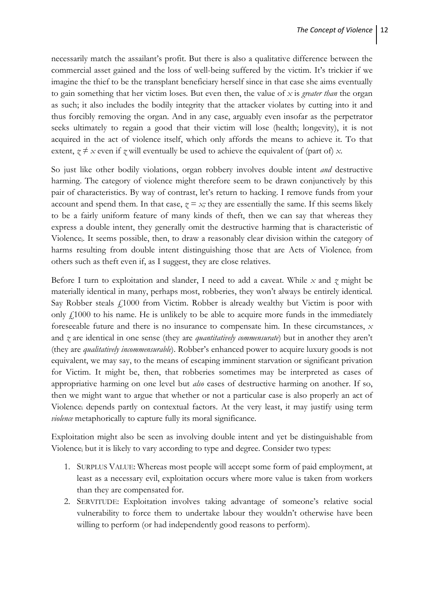necessarily match the assailant's profit. But there is also a qualitative difference between the commercial asset gained and the loss of well-being suffered by the victim. It's trickier if we imagine the thief to be the transplant beneficiary herself since in that case she aims eventually to gain something that her victim loses*.* But even then, the value of *x* is *greater than* the organ as such; it also includes the bodily integrity that the attacker violates by cutting into it and thus forcibly removing the organ. And in any case, arguably even insofar as the perpetrator seeks ultimately to regain a good that their victim will lose (health; longevity), it is not acquired in the act of violence itself, which only affords the means to achieve it. To that extent,  $z \neq x$  even if  $z$  will eventually be used to achieve the equivalent of (part of)  $x$ .

So just like other bodily violations, organ robbery involves double intent *and* destructive harming. The category of violence might therefore seem to be drawn conjunctively by this pair of characteristics. By way of contrast, let's return to hacking. I remove funds from your account and spend them. In that case,  $\gamma = x$ ; they are essentially the same. If this seems likely to be a fairly uniform feature of many kinds of theft, then we can say that whereas they express a double intent, they generally omit the destructive harming that is characteristic of Violencei. It seems possible, then, to draw a reasonably clear division within the category of harms resulting from double intent distinguishing those that are Acts of Violence; from others such as theft even if, as I suggest, they are close relatives.

Before I turn to exploitation and slander, I need to add a caveat. While *x* and *z* might be materially identical in many, perhaps most, robberies, they won't always be entirely identical*.*  Say Robber steals  $f_11000$  from Victim. Robber is already wealthy but Victim is poor with only £1000 to his name. He is unlikely to be able to acquire more funds in the immediately foreseeable future and there is no insurance to compensate him. In these circumstances, *x*  and *z* are identical in one sense (they are *quantitatively commensurate*) but in another they aren't (they are *qualitatively incommensurable*). Robber's enhanced power to acquire luxury goods is not equivalent, we may say, to the means of escaping imminent starvation or significant privation for Victim. It might be, then, that robberies sometimes may be interpreted as cases of appropriative harming on one level but *also* cases of destructive harming on another. If so, then we might want to argue that whether or not a particular case is also properly an act of Violencei depends partly on contextual factors. At the very least, it may justify using term *violence* metaphorically to capture fully its moral significance.

Exploitation might also be seen as involving double intent and yet be distinguishable from Violencei but it is likely to vary according to type and degree. Consider two types:

- 1. SURPLUS VALUE: Whereas most people will accept some form of paid employment, at least as a necessary evil, exploitation occurs where more value is taken from workers than they are compensated for.
- 2. SERVITUDE: Exploitation involves taking advantage of someone's relative social vulnerability to force them to undertake labour they wouldn't otherwise have been willing to perform (or had independently good reasons to perform).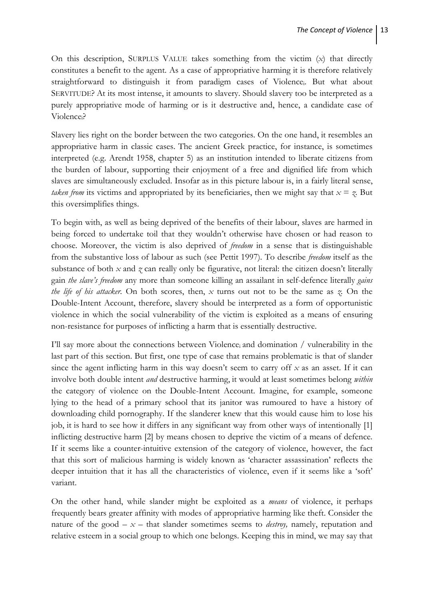On this description, SURPLUS VALUE takes something from the victim (*x*) that directly constitutes a benefit to the agent. As a case of appropriative harming it is therefore relatively straightforward to distinguish it from paradigm cases of Violencei. But what about SERVITUDE? At its most intense, it amounts to slavery. Should slavery too be interpreted as a purely appropriative mode of harming or is it destructive and, hence, a candidate case of Violencei?

Slavery lies right on the border between the two categories. On the one hand, it resembles an appropriative harm in classic cases. The ancient Greek practice, for instance, is sometimes interpreted (e.g. Arendt 1958, chapter 5) as an institution intended to liberate citizens from the burden of labour, supporting their enjoyment of a free and dignified life from which slaves are simultaneously excluded. Insofar as in this picture labour is, in a fairly literal sense, *taken from* its victims and appropriated by its beneficiaries, then we might say that  $x = \zeta$ . But this oversimplifies things.

To begin with, as well as being deprived of the benefits of their labour, slaves are harmed in being forced to undertake toil that they wouldn't otherwise have chosen or had reason to choose. Moreover, the victim is also deprived of *freedom* in a sense that is distinguishable from the substantive loss of labour as such (see Pettit 1997). To describe *freedom* itself as the substance of both *x* and *z* can really only be figurative, not literal: the citizen doesn't literally gain *the slave's freedom* any more than someone killing an assailant in self-defence literally *gains the life of his attacker.* On both scores, then, *x* turns out not to be the same as *z.* On the Double-Intent Account, therefore, slavery should be interpreted as a form of opportunistic violence in which the social vulnerability of the victim is exploited as a means of ensuring non-resistance for purposes of inflicting a harm that is essentially destructive.

I'll say more about the connections between Violencei and domination / vulnerability in the last part of this section. But first, one type of case that remains problematic is that of slander since the agent inflicting harm in this way doesn't seem to carry off *x* as an asset. If it can involve both double intent *and* destructive harming, it would at least sometimes belong *within* the category of violence on the Double-Intent Account. Imagine, for example, someone lying to the head of a primary school that its janitor was rumoured to have a history of downloading child pornography. If the slanderer knew that this would cause him to lose his job, it is hard to see how it differs in any significant way from other ways of intentionally [1] inflicting destructive harm [2] by means chosen to deprive the victim of a means of defence. If it seems like a counter-intuitive extension of the category of violence, however, the fact that this sort of malicious harming is widely known as 'character assassination' reflects the deeper intuition that it has all the characteristics of violence, even if it seems like a 'soft' variant.

On the other hand, while slander might be exploited as a *means* of violence, it perhaps frequently bears greater affinity with modes of appropriative harming like theft. Consider the nature of the good  $-x$  – that slander sometimes seems to *destroy*, namely, reputation and relative esteem in a social group to which one belongs. Keeping this in mind, we may say that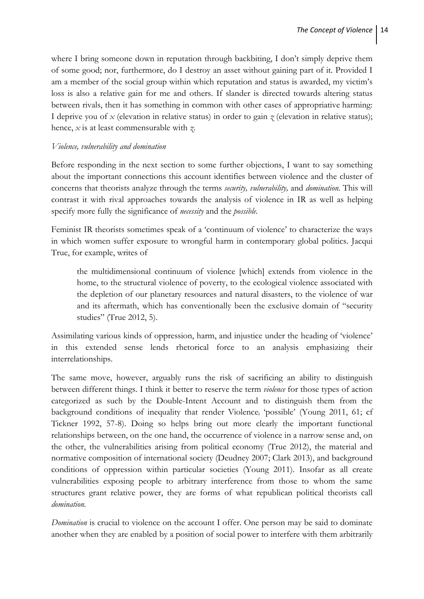where I bring someone down in reputation through backbiting, I don't simply deprive them of some good; nor, furthermore, do I destroy an asset without gaining part of it. Provided I am a member of the social group within which reputation and status is awarded, my victim's loss is also a relative gain for me and others. If slander is directed towards altering status between rivals, then it has something in common with other cases of appropriative harming: I deprive you of *x* (elevation in relative status) in order to gain *z* (elevation in relative status); hence, *x* is at least commensurable with *z.*

### *Violence, vulnerability and domination*

Before responding in the next section to some further objections, I want to say something about the important connections this account identifies between violence and the cluster of concerns that theorists analyze through the terms *security, vulnerability,* and *domination.* This will contrast it with rival approaches towards the analysis of violence in IR as well as helping specify more fully the significance of *necessity* and the *possible.* 

Feminist IR theorists sometimes speak of a 'continuum of violence' to characterize the ways in which women suffer exposure to wrongful harm in contemporary global politics. Jacqui True, for example, writes of

the multidimensional continuum of violence [which] extends from violence in the home, to the structural violence of poverty, to the ecological violence associated with the depletion of our planetary resources and natural disasters, to the violence of war and its aftermath, which has conventionally been the exclusive domain of "security studies" (True 2012, 5).

Assimilating various kinds of oppression, harm, and injustice under the heading of 'violence' in this extended sense lends rhetorical force to an analysis emphasizing their interrelationships.

The same move, however, arguably runs the risk of sacrificing an ability to distinguish between different things. I think it better to reserve the term *violence* for those types of action categorized as such by the Double-Intent Account and to distinguish them from the background conditions of inequality that render Violence, 'possible' (Young 2011, 61; cf Tickner 1992, 57-8). Doing so helps bring out more clearly the important functional relationships between, on the one hand, the occurrence of violence in a narrow sense and, on the other, the vulnerabilities arising from political economy (True 2012), the material and normative composition of international society (Deudney 2007; Clark 2013), and background conditions of oppression within particular societies (Young 2011). Insofar as all create vulnerabilities exposing people to arbitrary interference from those to whom the same structures grant relative power, they are forms of what republican political theorists call *domination.* 

*Domination* is crucial to violence on the account I offer. One person may be said to dominate another when they are enabled by a position of social power to interfere with them arbitrarily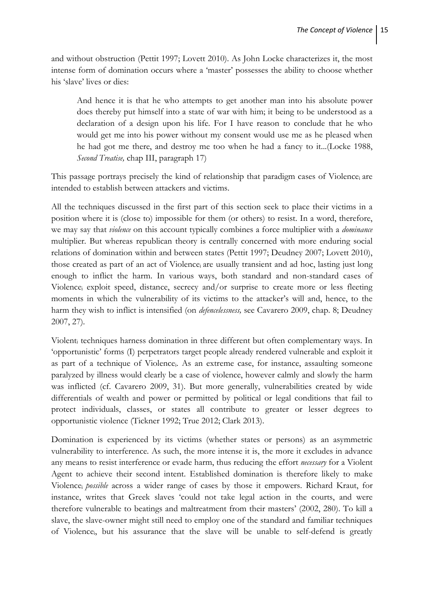and without obstruction (Pettit 1997; Lovett 2010). As John Locke characterizes it, the most intense form of domination occurs where a 'master' possesses the ability to choose whether his 'slave' lives or dies:

And hence it is that he who attempts to get another man into his absolute power does thereby put himself into a state of war with him; it being to be understood as a declaration of a design upon his life. For I have reason to conclude that he who would get me into his power without my consent would use me as he pleased when he had got me there, and destroy me too when he had a fancy to it...(Locke 1988, *Second Treatise,* chap III, paragraph 17)

This passage portrays precisely the kind of relationship that paradigm cases of Violence; are intended to establish between attackers and victims.

All the techniques discussed in the first part of this section seek to place their victims in a position where it is (close to) impossible for them (or others) to resist. In a word, therefore, we may say that *violence* on this account typically combines a force multiplier with a *dominance*  multiplier*.* But whereas republican theory is centrally concerned with more enduring social relations of domination within and between states (Pettit 1997; Deudney 2007; Lovett 2010), those created as part of an act of Violencei are usually transient and ad hoc, lasting just long enough to inflict the harm. In various ways, both standard and non-standard cases of Violencei exploit speed, distance, secrecy and/or surprise to create more or less fleeting moments in which the vulnerability of its victims to the attacker's will and, hence, to the harm they wish to inflict is intensified (on *defencelessness,* see Cavarero 2009, chap. 8; Deudney 2007, 27)*.*

Violenti techniques harness domination in three different but often complementary ways. In 'opportunistic' forms (I) perpetrators target people already rendered vulnerable and exploit it as part of a technique of Violencei. As an extreme case, for instance, assaulting someone paralyzed by illness would clearly be a case of violence, however calmly and slowly the harm was inflicted (cf. Cavarero 2009, 31). But more generally, vulnerabilities created by wide differentials of wealth and power or permitted by political or legal conditions that fail to protect individuals, classes, or states all contribute to greater or lesser degrees to opportunistic violence (Tickner 1992; True 2012; Clark 2013).

Domination is experienced by its victims (whether states or persons) as an asymmetric vulnerability to interference. As such, the more intense it is, the more it excludes in advance any means to resist interference or evade harm, thus reducing the effort *necessary* for a Violent Agent to achieve their second intent. Established domination is therefore likely to make Violencei *possible* across a wider range of cases by those it empowers. Richard Kraut, for instance, writes that Greek slaves 'could not take legal action in the courts, and were therefore vulnerable to beatings and maltreatment from their masters' (2002, 280). To kill a slave, the slave-owner might still need to employ one of the standard and familiar techniques of Violencei, but his assurance that the slave will be unable to self-defend is greatly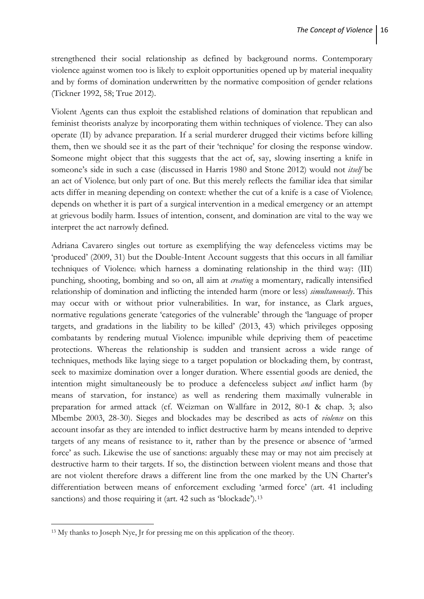strengthened their social relationship as defined by background norms. Contemporary violence against women too is likely to exploit opportunities opened up by material inequality and by forms of domination underwritten by the normative composition of gender relations (Tickner 1992, 58; True 2012).

Violent Agents can thus exploit the established relations of domination that republican and feminist theorists analyze by incorporating them within techniques of violence. They can also operate (II) by advance preparation. If a serial murderer drugged their victims before killing them, then we should see it as the part of their 'technique' for closing the response window. Someone might object that this suggests that the act of, say, slowing inserting a knife in someone's side in such a case (discussed in Harris 1980 and Stone 2012) would not *itself* be an act of Violencei but only part of one. But this merely reflects the familiar idea that similar acts differ in meaning depending on context: whether the cut of a knife is a case of Violence. depends on whether it is part of a surgical intervention in a medical emergency or an attempt at grievous bodily harm. Issues of intention, consent, and domination are vital to the way we interpret the act narrowly defined.

Adriana Cavarero singles out torture as exemplifying the way defenceless victims may be 'produced' (2009, 31) but the Double-Intent Account suggests that this occurs in all familiar techniques of Violencei which harness a dominating relationship in the third way: (III) punching, shooting, bombing and so on, all aim at *creating* a momentary, radically intensified relationship of domination and inflicting the intended harm (more or less) *simultaneously*. This may occur with or without prior vulnerabilities. In war, for instance, as Clark argues, normative regulations generate 'categories of the vulnerable' through the 'language of proper targets, and gradations in the liability to be killed' (2013, 43) which privileges opposing combatants by rendering mutual Violence, impunible while depriving them of peacetime protections. Whereas the relationship is sudden and transient across a wide range of techniques, methods like laying siege to a target population or blockading them, by contrast, seek to maximize domination over a longer duration. Where essential goods are denied, the intention might simultaneously be to produce a defenceless subject *and* inflict harm (by means of starvation, for instance) as well as rendering them maximally vulnerable in preparation for armed attack (cf. Weizman on Wallfare in 2012, 80-1 & chap. 3; also Mbembe 2003, 28-30). Sieges and blockades may be described as acts of *violence* on this account insofar as they are intended to inflict destructive harm by means intended to deprive targets of any means of resistance to it, rather than by the presence or absence of 'armed force' as such. Likewise the use of sanctions: arguably these may or may not aim precisely at destructive harm to their targets. If so, the distinction between violent means and those that are not violent therefore draws a different line from the one marked by the UN Charter's differentiation between means of enforcement excluding 'armed force' (art. 41 including sanctions) and those requiring it (art. 42 such as 'blockade').<sup>[13](#page-17-0)</sup>

**.** 

<span id="page-17-0"></span><sup>13</sup> My thanks to Joseph Nye, Jr for pressing me on this application of the theory.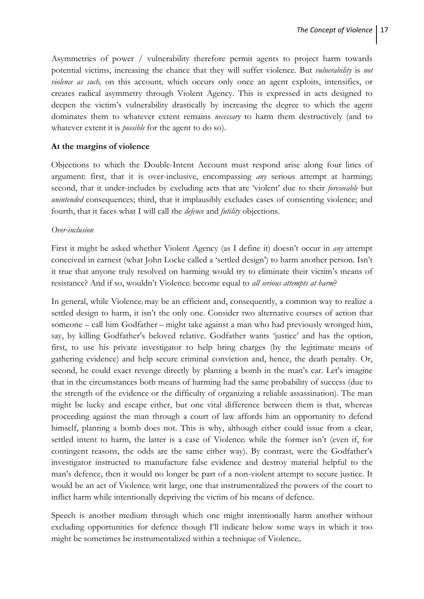Asymmetries of power / vulnerability therefore permit agents to project harm towards potential victims, increasing the chance that they will suffer violence. But *vulnerability* is *not violence as such,* on this account*,* which occurs only once an agent exploits, intensifies, or creates radical asymmetry through Violent Agency. This is expressed in acts designed to deepen the victim's vulnerability drastically by increasing the degree to which the agent dominates them to whatever extent remains *necessary* to harm them destructively (and to whatever extent it is *possible* for the agent to do so).

## **At the margins of violence**

Objections to which the Double-Intent Account must respond arise along four lines of argument: first, that it is over-inclusive, encompassing *any* serious attempt at harming; second, that it under-includes by excluding acts that are 'violent' due to their *foreseeable* but *unintended* consequences; third, that it implausibly excludes cases of consenting violence; and fourth, that it faces what I will call the *defence* and *futility* objections.

### *Over-inclusion*

First it might be asked whether Violent Agency (as I define it) doesn't occur in *any* attempt conceived in earnest (what John Locke called a 'settled design') to harm another person. Isn't it true that anyone truly resolved on harming would try to eliminate their victim's means of resistance? And if so, wouldn't Violencei become equal to *all serious attempts at harm*?

In general, while Violence<sub>i</sub> may be an efficient and, consequently, a common way to realize a settled design to harm, it isn't the only one. Consider two alternative courses of action that someone – call him Godfather – might take against a man who had previously wronged him, say, by killing Godfather's beloved relative. Godfather wants 'justice' and has the option, first, to use his private investigator to help bring charges (by the legitimate means of gathering evidence) and help secure criminal conviction and, hence, the death penalty. Or, second, he could exact revenge directly by planting a bomb in the man's car. Let's imagine that in the circumstances both means of harming had the same probability of success (due to the strength of the evidence or the difficulty of organizing a reliable assassination). The man might be lucky and escape either, but one vital difference between them is that, whereas proceeding against the man through a court of law affords him an opportunity to defend himself, planting a bomb does not. This is why, although either could issue from a clear, settled intent to harm, the latter is a case of Violence; while the former isn't (even if, for contingent reasons, the odds are the same either way). By contrast, were the Godfather's investigator instructed to manufacture false evidence and destroy material helpful to the man's defence, then it would no longer be part of a non-violent attempt to secure justice. It would be an act of Violence, writ large, one that instrumentalized the powers of the court to inflict harm while intentionally depriving the victim of his means of defence.

Speech is another medium through which one might intentionally harm another without excluding opportunities for defence though I'll indicate below some ways in which it too might be sometimes be instrumentalized within a technique of Violencei.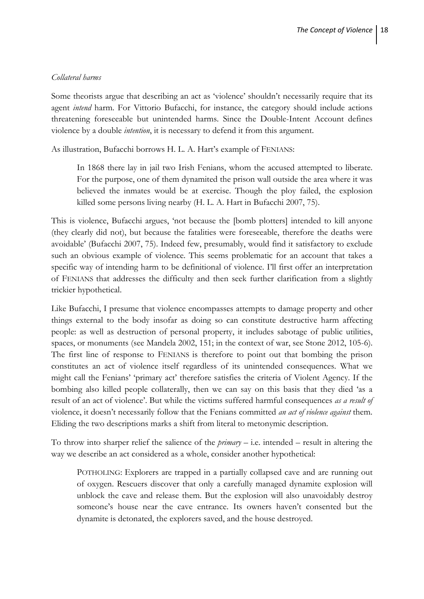### *Collateral harms*

Some theorists argue that describing an act as 'violence' shouldn't necessarily require that its agent *intend* harm. For Vittorio Bufacchi, for instance, the category should include actions threatening foreseeable but unintended harms. Since the Double-Intent Account defines violence by a double *intention*, it is necessary to defend it from this argument.

As illustration, Bufacchi borrows H. L. A. Hart's example of FENIANS:

In 1868 there lay in jail two Irish Fenians, whom the accused attempted to liberate. For the purpose, one of them dynamited the prison wall outside the area where it was believed the inmates would be at exercise. Though the ploy failed, the explosion killed some persons living nearby (H. L. A. Hart in Bufacchi 2007, 75).

This is violence, Bufacchi argues, 'not because the [bomb plotters] intended to kill anyone (they clearly did not), but because the fatalities were foreseeable, therefore the deaths were avoidable' (Bufacchi 2007, 75). Indeed few, presumably, would find it satisfactory to exclude such an obvious example of violence. This seems problematic for an account that takes a specific way of intending harm to be definitional of violence. I'll first offer an interpretation of FENIANS that addresses the difficulty and then seek further clarification from a slightly trickier hypothetical.

Like Bufacchi, I presume that violence encompasses attempts to damage property and other things external to the body insofar as doing so can constitute destructive harm affecting people: as well as destruction of personal property, it includes sabotage of public utilities, spaces, or monuments (see Mandela 2002, 151; in the context of war, see Stone 2012, 105-6). The first line of response to FENIANS is therefore to point out that bombing the prison constitutes an act of violence itself regardless of its unintended consequences. What we might call the Fenians' 'primary act' therefore satisfies the criteria of Violent Agency. If the bombing also killed people collaterally, then we can say on this basis that they died 'as a result of an act of violence'. But while the victims suffered harmful consequences *as a result of*  violence, it doesn't necessarily follow that the Fenians committed *an act of violence against* them. Eliding the two descriptions marks a shift from literal to metonymic description.

To throw into sharper relief the salience of the *primary* – i.e. intended – result in altering the way we describe an act considered as a whole, consider another hypothetical:

POTHOLING: Explorers are trapped in a partially collapsed cave and are running out of oxygen. Rescuers discover that only a carefully managed dynamite explosion will unblock the cave and release them. But the explosion will also unavoidably destroy someone's house near the cave entrance. Its owners haven't consented but the dynamite is detonated, the explorers saved, and the house destroyed.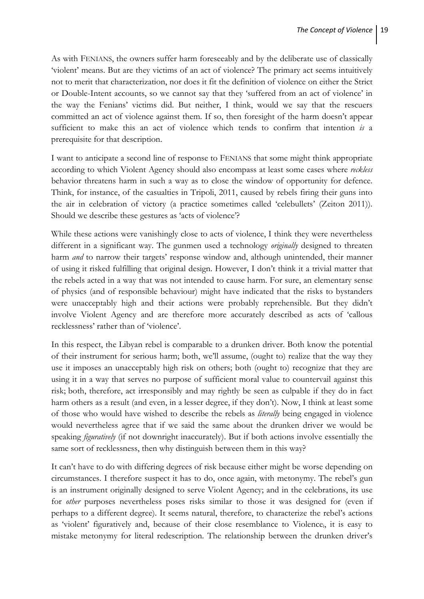As with FENIANS, the owners suffer harm foreseeably and by the deliberate use of classically 'violent' means. But are they victims of an act of violence? The primary act seems intuitively not to merit that characterization, nor does it fit the definition of violence on either the Strict or Double-Intent accounts, so we cannot say that they 'suffered from an act of violence' in the way the Fenians' victims did. But neither, I think, would we say that the rescuers committed an act of violence against them. If so, then foresight of the harm doesn't appear sufficient to make this an act of violence which tends to confirm that intention *is* a prerequisite for that description.

I want to anticipate a second line of response to FENIANS that some might think appropriate according to which Violent Agency should also encompass at least some cases where *reckless* behavior threatens harm in such a way as to close the window of opportunity for defence. Think, for instance, of the casualties in Tripoli, 2011, caused by rebels firing their guns into the air in celebration of victory (a practice sometimes called 'celebullets' (Zeiton 2011)). Should we describe these gestures as 'acts of violence'?

While these actions were vanishingly close to acts of violence, I think they were nevertheless different in a significant way. The gunmen used a technology *originally* designed to threaten harm *and* to narrow their targets' response window and, although unintended, their manner of using it risked fulfilling that original design. However, I don't think it a trivial matter that the rebels acted in a way that was not intended to cause harm. For sure, an elementary sense of physics (and of responsible behaviour) might have indicated that the risks to bystanders were unacceptably high and their actions were probably reprehensible. But they didn't involve Violent Agency and are therefore more accurately described as acts of 'callous recklessness' rather than of 'violence'.

In this respect, the Libyan rebel is comparable to a drunken driver. Both know the potential of their instrument for serious harm; both, we'll assume, (ought to) realize that the way they use it imposes an unacceptably high risk on others; both (ought to) recognize that they are using it in a way that serves no purpose of sufficient moral value to countervail against this risk; both, therefore, act irresponsibly and may rightly be seen as culpable if they do in fact harm others as a result (and even, in a lesser degree, if they don't). Now, I think at least some of those who would have wished to describe the rebels as *literally* being engaged in violence would nevertheless agree that if we said the same about the drunken driver we would be speaking *figuratively* (if not downright inaccurately). But if both actions involve essentially the same sort of recklessness, then why distinguish between them in this way?

It can't have to do with differing degrees of risk because either might be worse depending on circumstances. I therefore suspect it has to do, once again, with metonymy. The rebel's gun is an instrument originally designed to serve Violent Agency; and in the celebrations, its use for *other* purposes nevertheless poses risks similar to those it was designed for (even if perhaps to a different degree). It seems natural, therefore, to characterize the rebel's actions as 'violent' figuratively and, because of their close resemblance to Violencei, it is easy to mistake metonymy for literal redescription. The relationship between the drunken driver's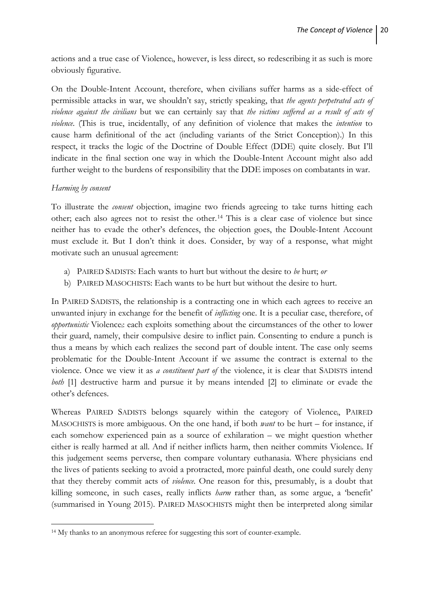actions and a true case of Violencei, however, is less direct, so redescribing it as such is more obviously figurative.

On the Double-Intent Account, therefore, when civilians suffer harms as a side-effect of permissible attacks in war, we shouldn't say, strictly speaking, that *the agents perpetrated acts of violence against the civilians* but we can certainly say that *the victims suffered as a result of acts of violence*. (This is true, incidentally, of any definition of violence that makes the *intention* to cause harm definitional of the act (including variants of the Strict Conception).) In this respect, it tracks the logic of the Doctrine of Double Effect (DDE) quite closely. But I'll indicate in the final section one way in which the Double-Intent Account might also add further weight to the burdens of responsibility that the DDE imposes on combatants in war.

# *Harming by consent*

**.** 

To illustrate the *consent* objection, imagine two friends agreeing to take turns hitting each other; each also agrees not to resist the other.[14](#page-21-0) This is a clear case of violence but since neither has to evade the other's defences, the objection goes, the Double-Intent Account must exclude it. But I don't think it does. Consider, by way of a response, what might motivate such an unusual agreement:

- a) PAIRED SADISTS: Each wants to hurt but without the desire to *be* hurt; *or*
- b) PAIRED MASOCHISTS: Each wants to be hurt but without the desire to hurt.

In PAIRED SADISTS, the relationship is a contracting one in which each agrees to receive an unwanted injury in exchange for the benefit of *inflicting* one. It is a peculiar case, therefore, of *opportunistic* Violencei: each exploits something about the circumstances of the other to lower their guard, namely, their compulsive desire to inflict pain. Consenting to endure a punch is thus a means by which each realizes the second part of double intent. The case only seems problematic for the Double-Intent Account if we assume the contract is external to the violence. Once we view it as *a constituent part of* the violence, it is clear that SADISTS intend *both* [1] destructive harm and pursue it by means intended [2] to eliminate or evade the other's defences.

Whereas PAIRED SADISTS belongs squarely within the category of Violencei, PAIRED MASOCHISTS is more ambiguous. On the one hand, if both *want* to be hurt – for instance, if each somehow experienced pain as a source of exhilaration – we might question whether either is really harmed at all. And if neither inflicts harm, then neither commits Violencei. If this judgement seems perverse, then compare voluntary euthanasia. Where physicians end the lives of patients seeking to avoid a protracted, more painful death, one could surely deny that they thereby commit acts of *violence*. One reason for this, presumably, is a doubt that killing someone, in such cases, really inflicts *harm* rather than, as some argue, a 'benefit' (summarised in Young 2015). PAIRED MASOCHISTS might then be interpreted along similar

<span id="page-21-0"></span><sup>14</sup> My thanks to an anonymous referee for suggesting this sort of counter-example.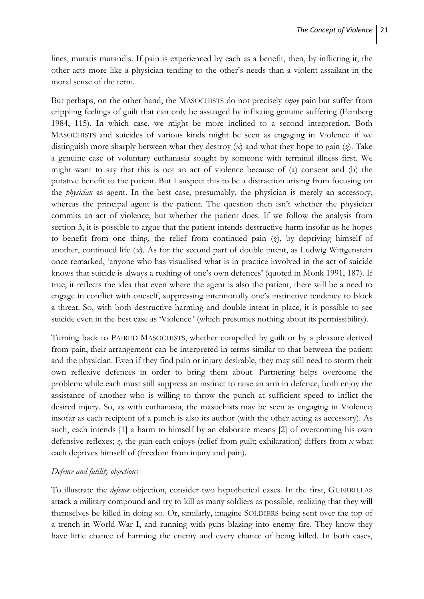lines, mutatis mutandis. If pain is experienced by each as a benefit, then, by inflicting it, the other acts more like a physician tending to the other's needs than a violent assailant in the moral sense of the term.

But perhaps, on the other hand, the MASOCHISTS do not precisely *enjoy* pain but suffer from crippling feelings of guilt that can only be assuaged by inflicting genuine suffering (Feinberg 1984, 115). In which case, we might be more inclined to a second interpretion. Both MASOCHISTS and suicides of various kinds might be seen as engaging in Violence; if we distinguish more sharply between what they destroy (*x*) and what they hope to gain (*z*). Take a genuine case of voluntary euthanasia sought by someone with terminal illness first. We might want to say that this is not an act of violence because of (a) consent and (b) the putative benefit to the patient. But I suspect this to be a distraction arising from focusing on the *physician* as agent. In the best case, presumably, the physician is merely an accessory, whereas the principal agent is the patient. The question then isn't whether the physician commits an act of violence, but whether the patient does. If we follow the analysis from section 3, it is possible to argue that the patient intends destructive harm insofar as he hopes to benefit from one thing, the relief from continued pain (*z*), by depriving himself of another, continued life (*x*). As for the second part of double intent, as Ludwig Wittgenstein once remarked, 'anyone who has visualised what is in practice involved in the act of suicide knows that suicide is always a rushing of one's own defences' (quoted in Monk 1991, 187). If true, it reflects the idea that even where the agent is also the patient, there will be a need to engage in conflict with oneself, suppressing intentionally one's instinctive tendency to block a threat. So, with both destructive harming and double intent in place, it is possible to see suicide even in the best case as 'Violence' (which presumes nothing about its permissibility).

Turning back to PAIRED MASOCHISTS, whether compelled by guilt or by a pleasure derived from pain, their arrangement can be interpreted in terms similar to that between the patient and the physician. Even if they find pain or injury desirable, they may still need to storm their own reflexive defences in order to bring them about. Partnering helps overcome the problem: while each must still suppress an instinct to raise an arm in defence, both enjoy the assistance of another who is willing to throw the punch at sufficient speed to inflict the desired injury. So, as with euthanasia, the masochists may be seen as engaging in Violence, insofar as each recipient of a punch is also its author (with the other acting as accessory). As such, each intends [1] a harm to himself by an elaborate means [2] of overcoming his own defensive reflexes; *z,* the gain each enjoys (relief from guilt; exhilaration) differs from *x* what each deprives himself of (freedom from injury and pain).

### *Defence and futility objections*

To illustrate the *defence* objection, consider two hypothetical cases. In the first, GUERRILLAS attack a military compound and try to kill as many soldiers as possible, realizing that they will themselves be killed in doing so. Or, similarly, imagine SOLDIERS being sent over the top of a trench in World War I, and running with guns blazing into enemy fire. They know they have little chance of harming the enemy and every chance of being killed. In both cases,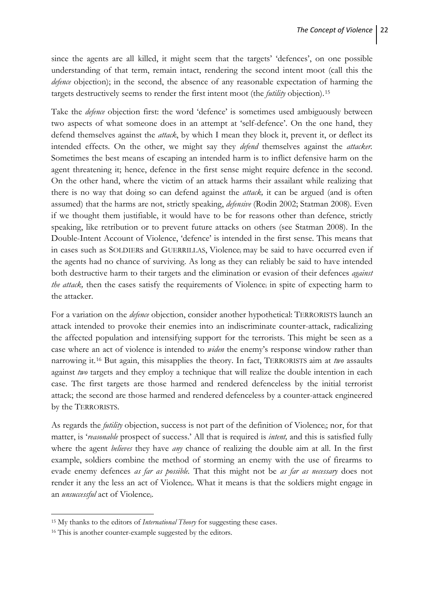since the agents are all killed, it might seem that the targets' 'defences', on one possible understanding of that term, remain intact, rendering the second intent moot (call this the *defence* objection); in the second, the absence of any reasonable expectation of harming the targets destructively seems to render the first intent moot (the *futility* objection).[15](#page-23-0)

Take the *defence* objection first: the word 'defence' is sometimes used ambiguously between two aspects of what someone does in an attempt at 'self-defence'. On the one hand, they defend themselves against the *attack*, by which I mean they block it, prevent it, or deflect its intended effects. On the other, we might say they *defend* themselves against the *attacker.*  Sometimes the best means of escaping an intended harm is to inflict defensive harm on the agent threatening it; hence, defence in the first sense might require defence in the second. On the other hand, where the victim of an attack harms their assailant while realizing that there is no way that doing so can defend against the *attack,* it can be argued (and is often assumed) that the harms are not, strictly speaking, *defensive* (Rodin 2002; Statman 2008)*.* Even if we thought them justifiable, it would have to be for reasons other than defence, strictly speaking, like retribution or to prevent future attacks on others (see Statman 2008). In the Double-Intent Account of Violence, 'defence' is intended in the first sense. This means that in cases such as SOLDIERS and GUERRILLAS, Violencei may be said to have occurred even if the agents had no chance of surviving. As long as they can reliably be said to have intended both destructive harm to their targets and the elimination or evasion of their defences *against the attack*, then the cases satisfy the requirements of Violence; in spite of expecting harm to the attacker.

For a variation on the *defence* objection, consider another hypothetical: TERRORISTS launch an attack intended to provoke their enemies into an indiscriminate counter-attack, radicalizing the affected population and intensifying support for the terrorists. This might be seen as a case where an act of violence is intended to *widen* the enemy's response window rather than narrowing it.[16](#page-23-1) But again, this misapplies the theory. In fact, TERRORISTS aim at *two* assaults against *two* targets and they employ a technique that will realize the double intention in each case. The first targets are those harmed and rendered defenceless by the initial terrorist attack; the second are those harmed and rendered defenceless by a counter-attack engineered by the TERRORISTS.

As regards the *futility* objection, success is not part of the definition of Violencei; nor, for that matter, is '*reasonable* prospect of success.' All that is required is *intent,* and this is satisfied fully where the agent *believes* they have *any* chance of realizing the double aim at all. In the first example, soldiers combine the method of storming an enemy with the use of firearms to evade enemy defences *as far as possible.* That this might not be *as far as necessary* does not render it any the less an act of Violencei. What it means is that the soldiers might engage in an *unsuccessful* act of Violencei.

1

<span id="page-23-0"></span><sup>15</sup> My thanks to the editors of *International Theory* for suggesting these cases.

<span id="page-23-1"></span><sup>&</sup>lt;sup>16</sup> This is another counter-example suggested by the editors.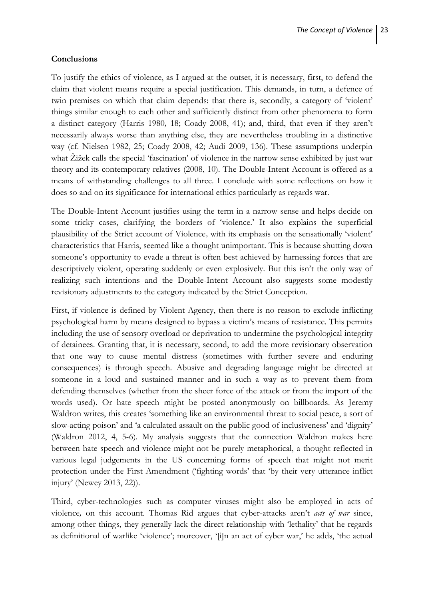### **Conclusions**

To justify the ethics of violence, as I argued at the outset, it is necessary, first, to defend the claim that violent means require a special justification. This demands, in turn, a defence of twin premises on which that claim depends: that there is, secondly, a category of 'violent' things similar enough to each other and sufficiently distinct from other phenomena to form a distinct category (Harris 1980*,* 18; Coady 2008, 41); and, third, that even if they aren't necessarily always worse than anything else, they are nevertheless troubling in a distinctive way (cf. Nielsen 1982, 25; Coady 2008, 42; Audi 2009, 136). These assumptions underpin what Žižek calls the special 'fascination' of violence in the narrow sense exhibited by just war theory and its contemporary relatives (2008, 10). The Double-Intent Account is offered as a means of withstanding challenges to all three. I conclude with some reflections on how it does so and on its significance for international ethics particularly as regards war.

The Double-Intent Account justifies using the term in a narrow sense and helps decide on some tricky cases, clarifying the borders of 'violence.' It also explains the superficial plausibility of the Strict account of Violences with its emphasis on the sensationally 'violent' characteristics that Harris, seemed like a thought unimportant. This is because shutting down someone's opportunity to evade a threat is often best achieved by harnessing forces that are descriptively violent, operating suddenly or even explosively. But this isn't the only way of realizing such intentions and the Double-Intent Account also suggests some modestly revisionary adjustments to the category indicated by the Strict Conception.

First, if violence is defined by Violent Agency, then there is no reason to exclude inflicting psychological harm by means designed to bypass a victim's means of resistance. This permits including the use of sensory overload or deprivation to undermine the psychological integrity of detainees. Granting that, it is necessary, second, to add the more revisionary observation that one way to cause mental distress (sometimes with further severe and enduring consequences) is through speech. Abusive and degrading language might be directed at someone in a loud and sustained manner and in such a way as to prevent them from defending themselves (whether from the sheer force of the attack or from the import of the words used). Or hate speech might be posted anonymously on billboards. As Jeremy Waldron writes, this creates 'something like an environmental threat to social peace, a sort of slow-acting poison' and 'a calculated assault on the public good of inclusiveness' and 'dignity' (Waldron 2012, 4, 5-6). My analysis suggests that the connection Waldron makes here between hate speech and violence might not be purely metaphorical, a thought reflected in various legal judgements in the US concerning forms of speech that might not merit protection under the First Amendment ('fighting words' that 'by their very utterance inflict injury' (Newey 2013, 22)).

Third, cyber-technologies such as computer viruses might also be employed in acts of violence*,* on this account. Thomas Rid argues that cyber-attacks aren't *acts of war* since, among other things, they generally lack the direct relationship with 'lethality' that he regards as definitional of warlike 'violence'; moreover, '[i]n an act of cyber war,' he adds, 'the actual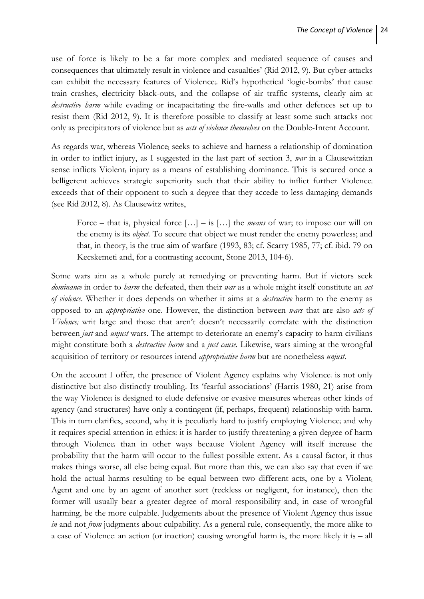use of force is likely to be a far more complex and mediated sequence of causes and consequences that ultimately result in violence and casualties' (Rid 2012, 9). But cyber-attacks can exhibit the necessary features of Violencei. Rid's hypothetical 'logic-bombs' that cause train crashes, electricity black-outs, and the collapse of air traffic systems, clearly aim at *destructive harm* while evading or incapacitating the fire-walls and other defences set up to resist them (Rid 2012, 9). It is therefore possible to classify at least some such attacks not only as precipitators of violence but as *acts of violence themselves* on the Double-Intent Account.

As regards war, whereas Violence; seeks to achieve and harness a relationship of domination in order to inflict injury, as I suggested in the last part of section 3, *war* in a Clausewitzian sense inflicts Violent<sub>i</sub> injury as a means of establishing dominance. This is secured once a belligerent achieves strategic superiority such that their ability to inflict further Violencei exceeds that of their opponent to such a degree that they accede to less damaging demands (see Rid 2012, 8). As Clausewitz writes,

Force – that is, physical force […] – is […] the *means* of war; to impose our will on the enemy is its *object.* To secure that object we must render the enemy powerless; and that, in theory, is the true aim of warfare (1993, 83; cf. Scarry 1985, 77; cf. ibid. 79 on Kecskemeti and, for a contrasting account, Stone 2013, 104-6).

Some wars aim as a whole purely at remedying or preventing harm. But if victors seek *dominance* in order to *harm* the defeated, then their *war* as a whole might itself constitute an *act of violence*. Whether it does depends on whether it aims at a *destructive* harm to the enemy as opposed to an *appropriative* one. However, the distinction between *wars* that are also *acts of Violencei* writ large and those that aren't doesn't necessarily correlate with the distinction between *just* and *unjust* wars. The attempt to deteriorate an enemy's capacity to harm civilians might constitute both a *destructive harm* and a *just cause.* Likewise, wars aiming at the wrongful acquisition of territory or resources intend *appropriative harm* but are nonetheless *unjust.*

On the account I offer, the presence of Violent Agency explains why Violence, is not only distinctive but also distinctly troubling. Its 'fearful associations' (Harris 1980, 21) arise from the way Violence<sub>i</sub> is designed to elude defensive or evasive measures whereas other kinds of agency (and structures) have only a contingent (if, perhaps, frequent) relationship with harm. This in turn clarifies, second, why it is peculiarly hard to justify employing Violence; and why it requires special attention in ethics: it is harder to justify threatening a given degree of harm through Violencei than in other ways because Violent Agency will itself increase the probability that the harm will occur to the fullest possible extent. As a causal factor, it thus makes things worse, all else being equal. But more than this, we can also say that even if we hold the actual harms resulting to be equal between two different acts, one by a Violenti Agent and one by an agent of another sort (reckless or negligent, for instance), then the former will usually bear a greater degree of moral responsibility and, in case of wrongful harming, be the more culpable. Judgements about the presence of Violent Agency thus issue *in* and not *from* judgments about culpability. As a general rule, consequently, the more alike to a case of Violence<sub>i</sub> an action (or inaction) causing wrongful harm is, the more likely it is  $-$  all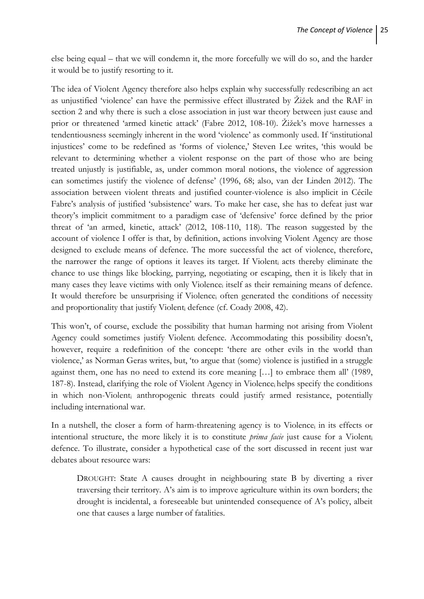else being equal – that we will condemn it, the more forcefully we will do so, and the harder it would be to justify resorting to it.

The idea of Violent Agency therefore also helps explain why successfully redescribing an act as unjustified 'violence' can have the permissive effect illustrated by Žižek and the RAF in section 2 and why there is such a close association in just war theory between just cause and prior or threatened 'armed kinetic attack' (Fabre 2012, 108-10). Žižek's move harnesses a tendentiousness seemingly inherent in the word 'violence' as commonly used. If 'institutional injustices' come to be redefined as 'forms of violence,' Steven Lee writes, 'this would be relevant to determining whether a violent response on the part of those who are being treated unjustly is justifiable, as, under common moral notions, the violence of aggression can sometimes justify the violence of defense' (1996, 68; also, van der Linden 2012). The association between violent threats and justified counter-violence is also implicit in Cécile Fabre's analysis of justified 'subsistence' wars. To make her case, she has to defeat just war theory's implicit commitment to a paradigm case of 'defensive' force defined by the prior threat of 'an armed, kinetic, attack' (2012, 108-110, 118). The reason suggested by the account of violence I offer is that, by definition, actions involving Violent Agency are those designed to exclude means of defence. The more successful the act of violence, therefore, the narrower the range of options it leaves its target. If Violenti acts thereby eliminate the chance to use things like blocking, parrying, negotiating or escaping, then it is likely that in many cases they leave victims with only Violencei itself as their remaining means of defence. It would therefore be unsurprising if Violencei often generated the conditions of necessity and proportionality that justify Violent<sub>i</sub> defence (cf. Coady 2008, 42).

This won't, of course, exclude the possibility that human harming not arising from Violent Agency could sometimes justify Violenti defence. Accommodating this possibility doesn't, however, require a redefinition of the concept: 'there are other evils in the world than violence,' as Norman Geras writes, but, 'to argue that (some) violence is justified in a struggle against them, one has no need to extend its core meaning […] to embrace them all' (1989, 187-8). Instead, clarifying the role of Violent Agency in Violencei helps specify the conditions in which non-Violenti anthropogenic threats could justify armed resistance, potentially including international war.

In a nutshell, the closer a form of harm-threatening agency is to Violence; in its effects or intentional structure, the more likely it is to constitute *prima facie* just cause for a Violenti defence. To illustrate, consider a hypothetical case of the sort discussed in recent just war debates about resource wars:

DROUGHT: State A causes drought in neighbouring state B by diverting a river traversing their territory. A's aim is to improve agriculture within its own borders; the drought is incidental, a foreseeable but unintended consequence of A's policy, albeit one that causes a large number of fatalities.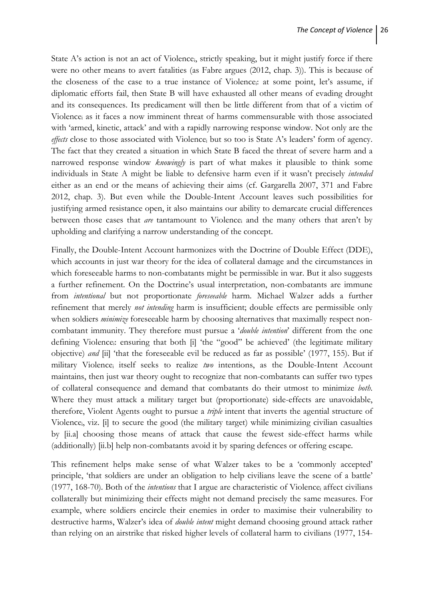State A's action is not an act of Violence; strictly speaking, but it might justify force if there were no other means to avert fatalities (as Fabre argues (2012, chap. 3)). This is because of the closeness of the case to a true instance of Violencei: at some point, let's assume, if diplomatic efforts fail, then State B will have exhausted all other means of evading drought and its consequences. Its predicament will then be little different from that of a victim of Violencei as it faces a now imminent threat of harms commensurable with those associated with 'armed, kinetic, attack' and with a rapidly narrowing response window. Not only are the *effects* close to those associated with Violence<sub>i</sub> but so too is State A's leaders' form of agency. The fact that they created a situation in which State B faced the threat of severe harm and a narrowed response window *knowingly* is part of what makes it plausible to think some individuals in State A might be liable to defensive harm even if it wasn't precisely *intended*  either as an end or the means of achieving their aims (cf. Gargarella 2007, 371 and Fabre 2012, chap. 3). But even while the Double-Intent Account leaves such possibilities for justifying armed resistance open, it also maintains our ability to demarcate crucial differences between those cases that *are* tantamount to Violencei and the many others that aren't by upholding and clarifying a narrow understanding of the concept.

Finally, the Double-Intent Account harmonizes with the Doctrine of Double Effect (DDE), which accounts in just war theory for the idea of collateral damage and the circumstances in which foreseeable harms to non-combatants might be permissible in war. But it also suggests a further refinement. On the Doctrine's usual interpretation, non-combatants are immune from *intentional* but not proportionate *foreseeable* harm*.* Michael Walzer adds a further refinement that merely *not intending* harm is insufficient; double effects are permissible only when soldiers *minimize* foreseeable harm by choosing alternatives that maximally respect noncombatant immunity. They therefore must pursue a '*double intention*' different from the one defining Violencei: ensuring that both [i] 'the "good" be achieved' (the legitimate military objective) *and* [ii] 'that the foreseeable evil be reduced as far as possible' (1977, 155). But if military Violencei itself seeks to realize *two* intentions, as the Double-Intent Account maintains, then just war theory ought to recognize that non-combatants can suffer two types of collateral consequence and demand that combatants do their utmost to minimize *both*. Where they must attack a military target but (proportionate) side-effects are unavoidable, therefore, Violent Agents ought to pursue a *triple* intent that inverts the agential structure of Violencei, viz. [i] to secure the good (the military target) while minimizing civilian casualties by [ii.a] choosing those means of attack that cause the fewest side-effect harms while (additionally) [ii.b] help non-combatants avoid it by sparing defences or offering escape*.*

This refinement helps make sense of what Walzer takes to be a 'commonly accepted' principle, 'that soldiers are under an obligation to help civilians leave the scene of a battle' (1977, 168-70). Both of the *intentions* that I argue are characteristic of Violencei affect civilians collaterally but minimizing their effects might not demand precisely the same measures. For example, where soldiers encircle their enemies in order to maximise their vulnerability to destructive harms, Walzer's idea of *double intent* might demand choosing ground attack rather than relying on an airstrike that risked higher levels of collateral harm to civilians (1977, 154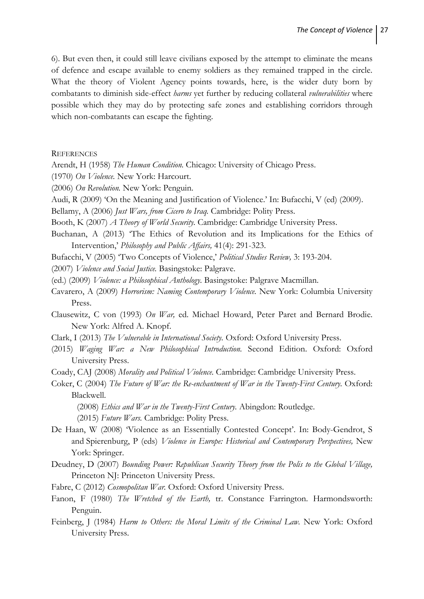6). But even then, it could still leave civilians exposed by the attempt to eliminate the means of defence and escape available to enemy soldiers as they remained trapped in the circle. What the theory of Violent Agency points towards, here, is the wider duty born by combatants to diminish side-effect *harms* yet further by reducing collateral *vulnerabilities* where possible which they may do by protecting safe zones and establishing corridors through which non-combatants can escape the fighting.

**REFERENCES** 

Arendt, H (1958) *The Human Condition.* Chicago: University of Chicago Press.

- (1970) *On Violence.* New York: Harcourt.
- (2006) *On Revolution.* New York: Penguin.
- Audi, R (2009) 'On the Meaning and Justification of Violence.' In: Bufacchi, V (ed) (2009).
- Bellamy, A (2006) *Just Wars, from Cicero to Iraq.* Cambridge: Polity Press.

Booth, K (2007) *A Theory of World Security.* Cambridge: Cambridge University Press.

Buchanan, A (2013) 'The Ethics of Revolution and its Implications for the Ethics of Intervention,' *Philosophy and Public Affairs,* 41(4): 291-323.

Bufacchi, V (2005) 'Two Concepts of Violence,' *Political Studies Review,* 3: 193-204.

(2007) *Violence and Social Justice.* Basingstoke: Palgrave.

(ed.) (2009) *Violence: a Philosophical Anthology.* Basingstoke: Palgrave Macmillan.

- Cavarero, A (2009) *Horrorism: Naming Contemporary Violence.* New York: Columbia University Press.
- Clausewitz, C von (1993) *On War,* ed. Michael Howard, Peter Paret and Bernard Brodie. New York: Alfred A. Knopf.
- Clark, I (2013) *The Vulnerable in International Society.* Oxford: Oxford University Press.
- (2015) *Waging War: a New Philosophical Introduction.* Second Edition. Oxford: Oxford University Press.

Coady, CAJ (2008) *Morality and Political Violence.* Cambridge: Cambridge University Press.

Coker, C (2004) *The Future of War: the Re-enchantment of War in the Twenty-First Century.* Oxford: Blackwell.

(2008) *Ethics and War in the Twenty-First Century.* Abingdon: Routledge.

- (2015) *Future Wars.* Cambridge: Polity Press.
- De Haan, W (2008) 'Violence as an Essentially Contested Concept'. In: Body-Gendrot, S and Spierenburg, P (eds) *Violence in Europe: Historical and Contemporary Perspectives,* New York: Springer.
- Deudney, D (2007) *Bounding Power: Republican Security Theory from the Polis to the Global Village,*  Princeton NJ: Princeton University Press.
- Fabre, C (2012) *Cosmopolitan War*. Oxford: Oxford University Press.
- Fanon, F (1980) *The Wretched of the Earth,* tr. Constance Farrington. Harmondsworth: Penguin.
- Feinberg, J (1984) *Harm to Others: the Moral Limits of the Criminal Law*. New York: Oxford University Press.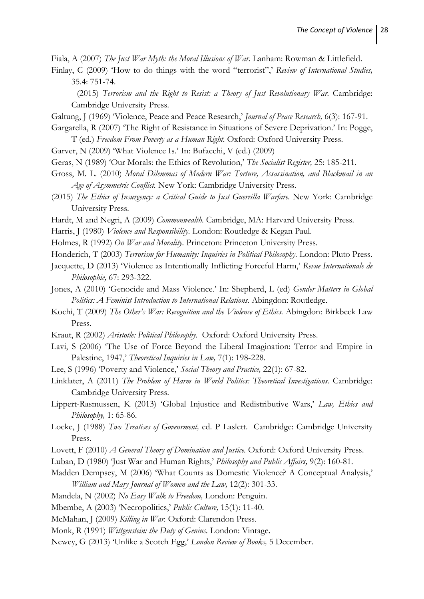Fiala, A (2007) *The Just War Myth: the Moral Illusions of War.* Lanham: Rowman & Littlefield.

Finlay, C (2009) 'How to do things with the word "terrorist",' *Review of International Studies,*  35.4: 751-74.

(2015) *Terrorism and the Right to Resist: a Theory of Just Revolutionary War.* Cambridge: Cambridge University Press.

- Galtung, J (1969) 'Violence, Peace and Peace Research,' *Journal of Peace Research,* 6(3): 167-91.
- Gargarella, R (2007) 'The Right of Resistance in Situations of Severe Deprivation.' In: Pogge, T (ed.) *Freedom From Poverty as a Human Right.* Oxford: Oxford University Press.
- Garver, N (2009) 'What Violence Is.' In: Bufacchi, V (ed.) (2009)
- Geras, N (1989) 'Our Morals: the Ethics of Revolution,' *The Socialist Register,* 25: 185-211.
- Gross, M. L. (2010) *Moral Dilemmas of Modern War: Torture, Assassination, and Blackmail in an Age of Asymmetric Conflict.* New York: Cambridge University Press.
- (2015) *The Ethics of Insurgency: a Critical Guide to Just Guerrilla Warfare.* New York: Cambridge University Press.
- Hardt, M and Negri, A (2009) *Commonwealth.* Cambridge, MA: Harvard University Press.
- Harris, J (1980) *Violence and Responsibility.* London: Routledge & Kegan Paul.
- Holmes, R (1992) *On War and Morality.* Princeton: Princeton University Press.
- Honderich, T (2003) *Terrorism for Humanity: Inquiries in Political Philosophy.* London: Pluto Press.
- Jacquette, D (2013) 'Violence as Intentionally Inflicting Forceful Harm,' *Revue Internationale de Philosophie,* 67: 293-322.
- Jones, A (2010) 'Genocide and Mass Violence.' In: Shepherd, L (ed) *Gender Matters in Global Politics: A Feminist Introduction to International Relations. Abingdon: Routledge.*
- Kochi, T (2009) *The Other's War: Recognition and the Violence of Ethics.* Abingdon: Birkbeck Law Press.
- Kraut, R (2002) *Aristotle: Political Philosophy.* Oxford: Oxford University Press.
- Lavi, S (2006) 'The Use of Force Beyond the Liberal Imagination: Terror and Empire in Palestine, 1947,' *Theoretical Inquiries in Law,* 7(1): 198-228.
- Lee, S (1996) 'Poverty and Violence,' *Social Theory and Practice,* 22(1): 67-82.
- Linklater, A (2011) *The Problem of Harm in World Politics: Theoretical Investigations.* Cambridge: Cambridge University Press.
- Lippert-Rasmussen, K (2013) 'Global Injustice and Redistributive Wars,' *Law, Ethics and Philosophy,* 1: 65-86.
- Locke, J (1988) *Two Treatises of Govenrment,* ed. P Laslett. Cambridge: Cambridge University Press.
- Lovett, F (2010) *A General Theory of Domination and Justice*. Oxford: Oxford University Press.
- Luban, D (1980) 'Just War and Human Rights,' *Philosophy and Public Affairs,* 9(2): 160-81.
- Madden Dempsey, M (2006) 'What Counts as Domestic Violence? A Conceptual Analysis,' *William and Mary Journal of Women and the Law,* 12(2): 301-33.
- Mandela, N (2002) *No Easy Walk to Freedom,* London: Penguin.
- Mbembe, A (2003) 'Necropolitics,' *Public Culture,* 15(1): 11-40.
- McMahan, J (2009) *Killing in War.* Oxford: Clarendon Press.
- Monk, R (1991) *Wittgenstein: the Duty of Genius.* London: Vintage.
- Newey, G (2013) 'Unlike a Scotch Egg,' *London Review of Books,* 5 December.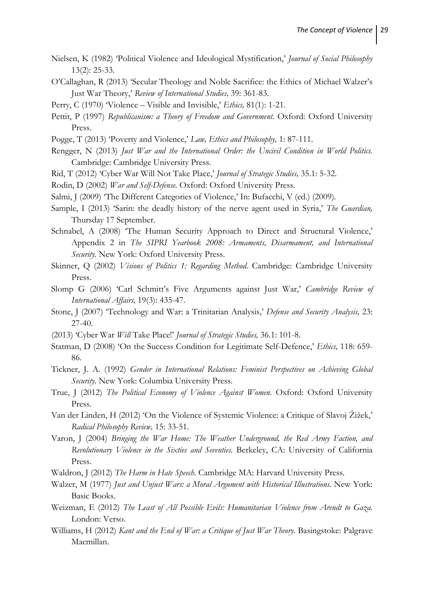- Nielsen, K (1982) 'Political Violence and Ideological Mystification,' *Journal of Social Philosophy*  13(2): 25-33.
- O'Callaghan, R (2013) 'Secular Theology and Noble Sacrifice: the Ethics of Michael Walzer's Just War Theory,' *Review of International Studies,* 39: 361-83.
- Perry, C (1970) 'Violence Visible and Invisible,' *Ethics,* 81(1): 1-21.
- Pettit, P (1997) Republicanism: a Theory of Freedom and Government. Oxford: Oxford University Press.
- Pogge, T (2013) 'Poverty and Violence,' *Law, Ethics and Philosophy,* 1: 87-111.
- Rengger, N (2013) *Just War and the International Order: the Uncivil Condition in World Politics.*  Cambridge: Cambridge University Press.
- Rid, T (2012) 'Cyber War Will Not Take Place,' *Journal of Strategic Studies,* 35.1: 5-32.
- Rodin, D (2002) *War and Self-Defense.* Oxford: Oxford University Press.
- Salmi, J (2009) 'The Different Categories of Violence,' In: Bufacchi, V (ed.) (2009).
- Sample, I (2013) 'Sarin: the deadly history of the nerve agent used in Syria,' *The Guardian,*  Thursday 17 September.
- Schnabel, A (2008) 'The Human Security Approach to Direct and Structural Violence,' Appendix 2 in *The SIPRI Yearbook 2008: Armaments, Disarmament, and International Security.* New York: Oxford University Press.
- Skinner, Q (2002) *Visions of Politics 1: Regarding Method.* Cambridge: Cambridge University Press.
- Slomp G (2006) 'Carl Schmitt's Five Arguments against Just War,' *Cambridge Review of International Affairs,* 19(3): 435-47.
- Stone, J (2007) 'Technology and War: a Trinitarian Analysis,' *Defense and Security Analysis,* 23: 27-40.
- (2013) 'Cyber War *Will* Take Place!' *Journal of Strategic Studies,* 36.1: 101-8.
- Statman, D (2008) 'On the Success Condition for Legitimate Self-Defence,' *Ethics,* 118: 659- 86.
- Tickner, J. A. (1992) *Gender in International Relations: Feminist Perspectives on Achieving Global Security.* New York: Columbia University Press.
- True, J (2012) *The Political Economy of Violence Against Women.* Oxford: Oxford University Press.
- Van der Linden, H (2012) 'On the Violence of Systemic Violence: a Critique of Slavoj Žižek,' *Radical Philosophy Review,* 15: 33-51.
- Varon, J (2004) *Bringing the War Home: The Weather Underground, the Red Army Faction, and Revolutionary Violence in the Sixties and Seventies.* Berkeley, CA: University of California Press.
- Waldron, J (2012) *The Harm in Hate Speech.* Cambridge MA: Harvard University Press.
- Walzer, M (1977) *Just and Unjust Wars: a Moral Argument with Historical Illustrations.* New York: Basic Books.
- Weizman, E (2012) *The Least of All Possible Evils: Humanitarian Violence from Arendt to Gaza.*  London: Verso.
- Williams, H (2012) *Kant and the End of War: a Critique of Just War Theory.* Basingstoke: Palgrave Macmillan.